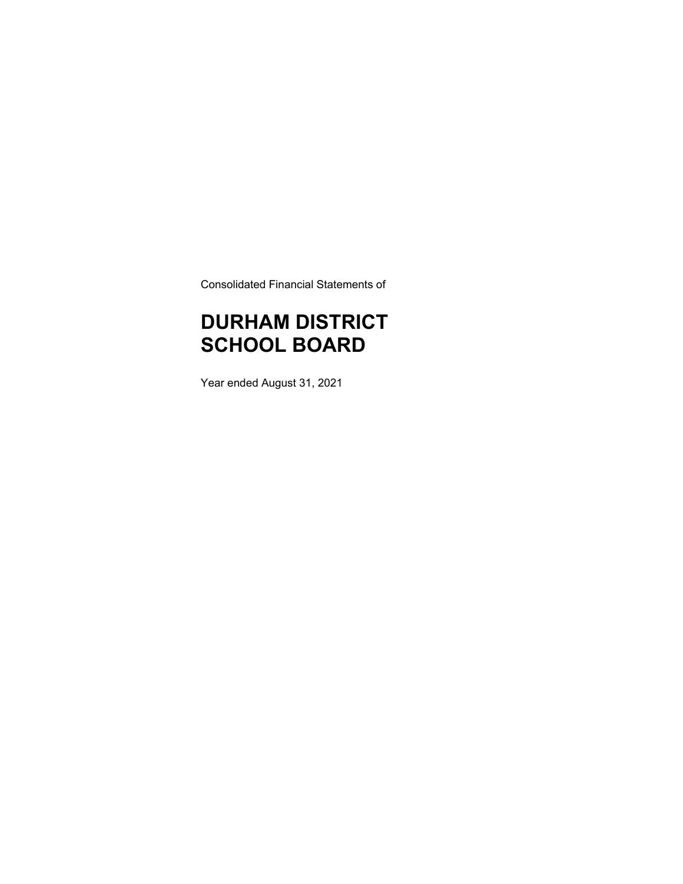Consolidated Financial Statements of

### **DURHAM DISTRICT SCHOOL BOARD**

Year ended August 31, 2021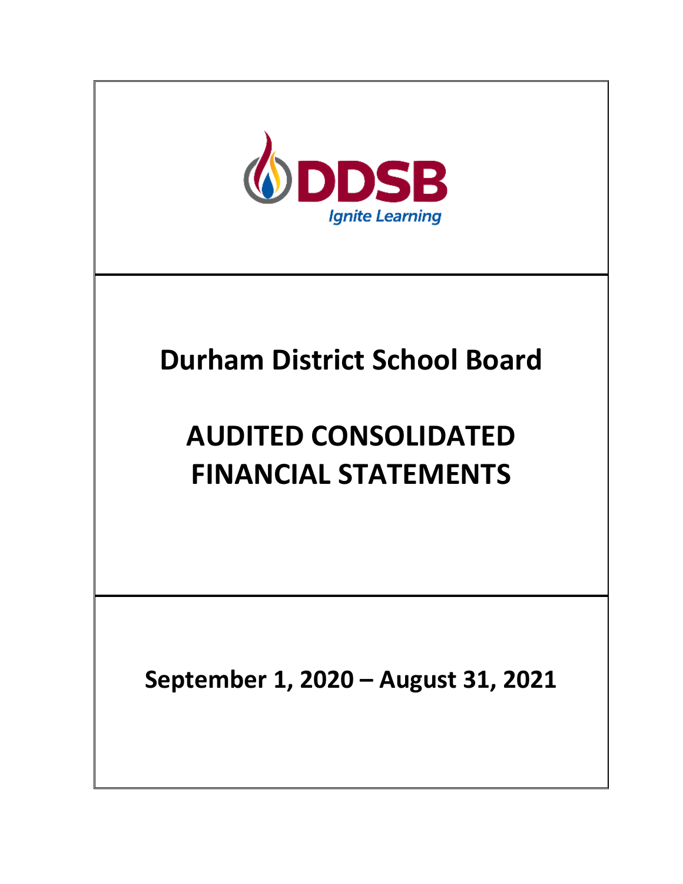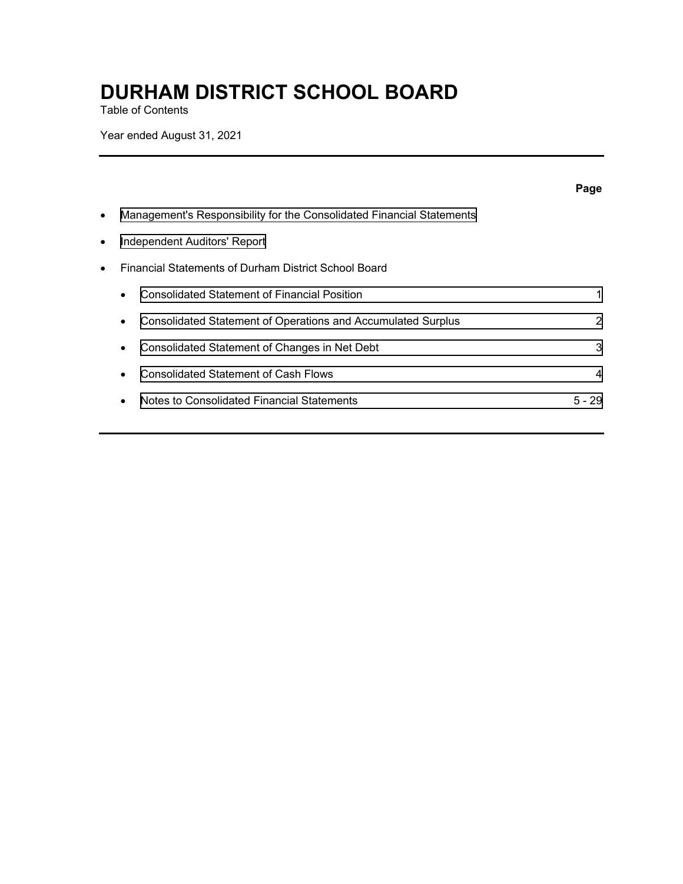Table of Contents

Year ended August 31, 2021

|           |                                                                       | Page     |
|-----------|-----------------------------------------------------------------------|----------|
| $\bullet$ | Management's Responsibility for the Consolidated Financial Statements |          |
| $\bullet$ | Independent Auditors' Report                                          |          |
| $\bullet$ | Financial Statements of Durham District School Board                  |          |
|           | <b>Consolidated Statement of Financial Position</b>                   | 1        |
|           | Consolidated Statement of Operations and Accumulated Surplus          | 2        |
|           | Consolidated Statement of Changes in Net Debt                         | 3        |
|           | <b>Consolidated Statement of Cash Flows</b>                           | 4        |
|           | Notes to Consolidated Financial Statements                            | $5 - 29$ |
|           |                                                                       |          |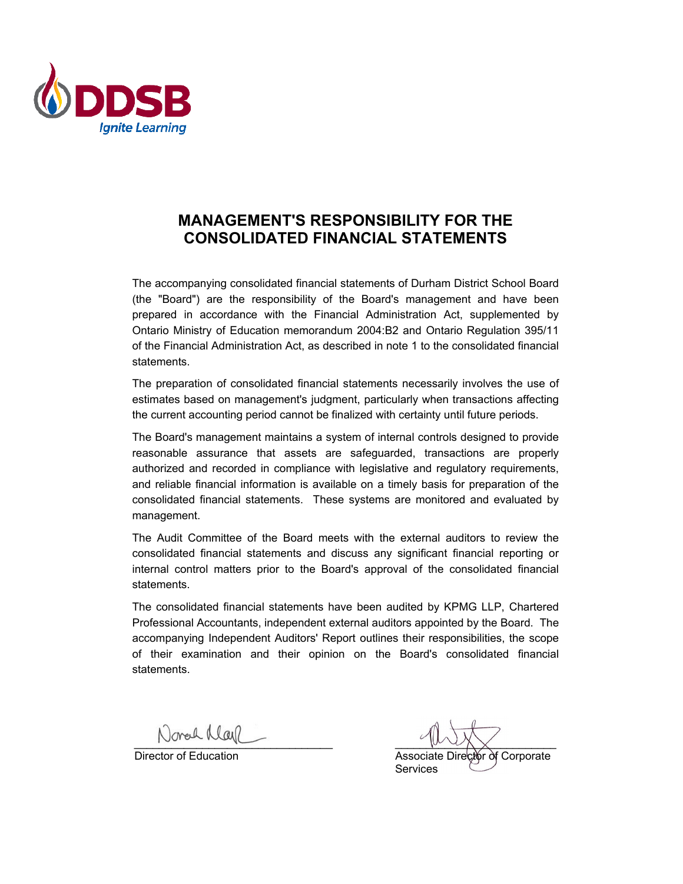<span id="page-3-0"></span>

### **MANAGEMENT'S RESPONSIBILITY FOR THE CONSOLIDATED FINANCIAL STATEMENTS**

The accompanying consolidated financial statements of Durham District School Board (the "Board") are the responsibility of the Board's management and have been prepared in accordance with the Financial Administration Act, supplemented by Ontario Ministry of Education memorandum 2004:B2 and Ontario Regulation 395/11 of the Financial Administration Act, as described in note 1 to the consolidated financial statements.

The preparation of consolidated financial statements necessarily involves the use of estimates based on management's judgment, particularly when transactions affecting the current accounting period cannot be finalized with certainty until future periods.

The Board's management maintains a system of internal controls designed to provide reasonable assurance that assets are safeguarded, transactions are properly authorized and recorded in compliance with legislative and regulatory requirements, and reliable financial information is available on a timely basis for preparation of the consolidated financial statements. These systems are monitored and evaluated by management.

The Audit Committee of the Board meets with the external auditors to review the consolidated financial statements and discuss any significant financial reporting or internal control matters prior to the Board's approval of the consolidated financial statements.

The consolidated financial statements have been audited by KPMG LLP, Chartered Professional Accountants, independent external auditors appointed by the Board. The accompanying Independent Auditors' Report outlines their responsibilities, the scope of their examination and their opinion on the Board's consolidated financial statements.

\_\_\_\_\_\_\_\_\_\_\_\_\_\_\_\_\_\_\_\_\_\_\_\_\_\_\_\_\_\_\_\_

Director of Education

 $\mu_{\rm W}$ Associate Director of Corporate

Services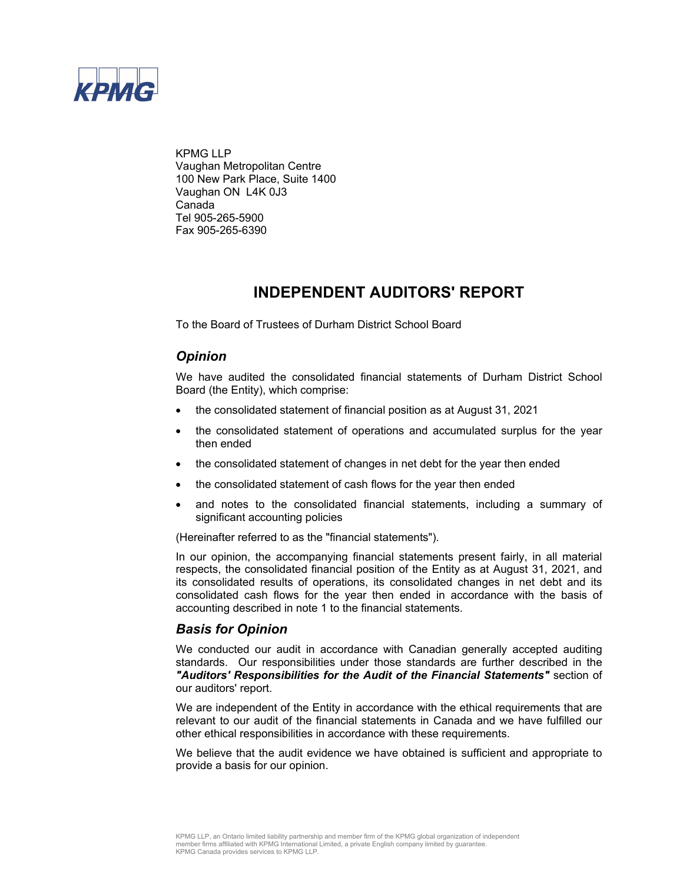<span id="page-4-0"></span>

KPMG LLP Vaughan Metropolitan Centre 100 New Park Place, Suite 1400 Vaughan ON L4K 0J3 Canada Tel 905-265-5900 Fax 905-265-6390

### **INDEPENDENT AUDITORS' REPORT**

To the Board of Trustees of Durham District School Board

### *Opinion*

We have audited the consolidated financial statements of Durham District School Board (the Entity), which comprise:

- the consolidated statement of financial position as at August 31, 2021
- the consolidated statement of operations and accumulated surplus for the year then ended
- the consolidated statement of changes in net debt for the year then ended
- the consolidated statement of cash flows for the year then ended
- and notes to the consolidated financial statements, including a summary of significant accounting policies

(Hereinafter referred to as the "financial statements").

In our opinion, the accompanying financial statements present fairly, in all material respects, the consolidated financial position of the Entity as at August 31, 2021, and its consolidated results of operations, its consolidated changes in net debt and its consolidated cash flows for the year then ended in accordance with the basis of accounting described in note 1 to the financial statements.

### *Basis for Opinion*

We conducted our audit in accordance with Canadian generally accepted auditing standards. Our responsibilities under those standards are further described in the *"Auditors' Responsibilities for the Audit of the Financial Statements"* section of our auditors' report.

We are independent of the Entity in accordance with the ethical requirements that are relevant to our audit of the financial statements in Canada and we have fulfilled our other ethical responsibilities in accordance with these requirements.

We believe that the audit evidence we have obtained is sufficient and appropriate to provide a basis for our opinion.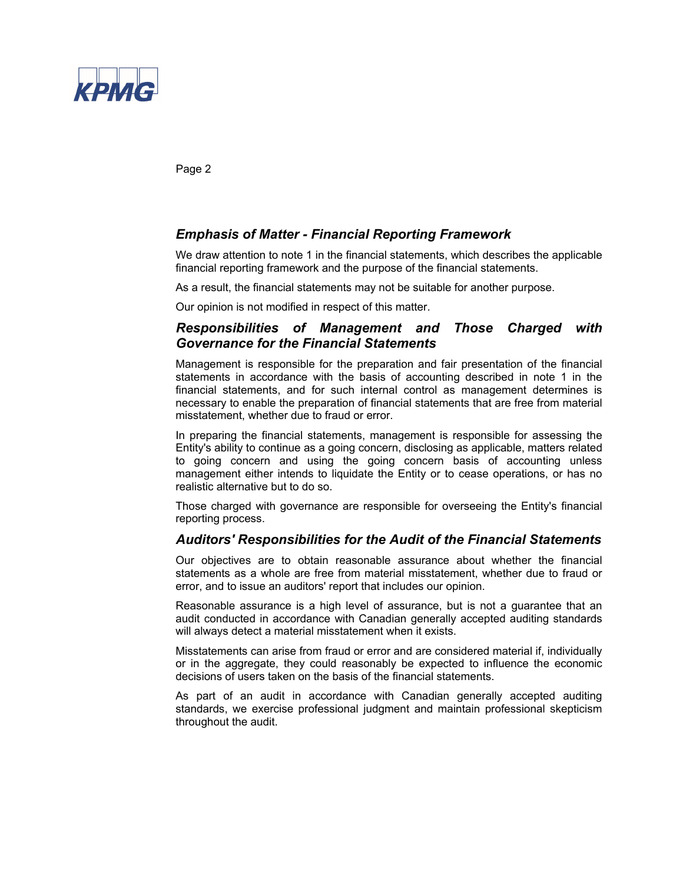

Page 2

### *Emphasis of Matter - Financial Reporting Framework*

We draw attention to note 1 in the financial statements, which describes the applicable financial reporting framework and the purpose of the financial statements.

As a result, the financial statements may not be suitable for another purpose.

Our opinion is not modified in respect of this matter.

### *Responsibilities of Management and Those Charged with Governance for the Financial Statements*

Management is responsible for the preparation and fair presentation of the financial statements in accordance with the basis of accounting described in note 1 in the financial statements, and for such internal control as management determines is necessary to enable the preparation of financial statements that are free from material misstatement, whether due to fraud or error.

In preparing the financial statements, management is responsible for assessing the Entity's ability to continue as a going concern, disclosing as applicable, matters related to going concern and using the going concern basis of accounting unless management either intends to liquidate the Entity or to cease operations, or has no realistic alternative but to do so.

Those charged with governance are responsible for overseeing the Entity's financial reporting process.

### *Auditors' Responsibilities for the Audit of the Financial Statements*

Our objectives are to obtain reasonable assurance about whether the financial statements as a whole are free from material misstatement, whether due to fraud or error, and to issue an auditors' report that includes our opinion.

Reasonable assurance is a high level of assurance, but is not a guarantee that an audit conducted in accordance with Canadian generally accepted auditing standards will always detect a material misstatement when it exists.

Misstatements can arise from fraud or error and are considered material if, individually or in the aggregate, they could reasonably be expected to influence the economic decisions of users taken on the basis of the financial statements.

As part of an audit in accordance with Canadian generally accepted auditing standards, we exercise professional judgment and maintain professional skepticism throughout the audit.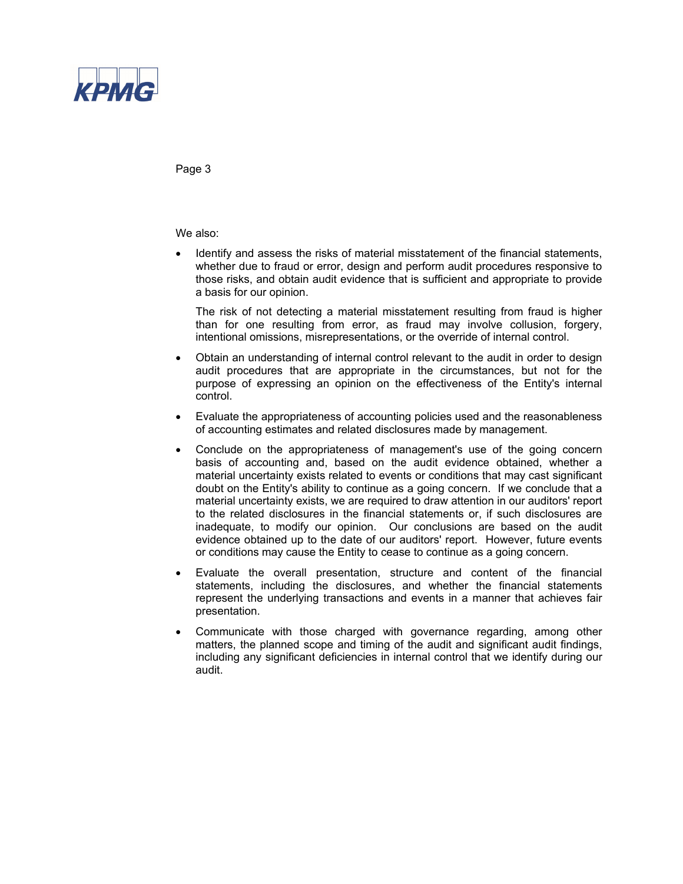

Page 3

We also:

 Identify and assess the risks of material misstatement of the financial statements, whether due to fraud or error, design and perform audit procedures responsive to those risks, and obtain audit evidence that is sufficient and appropriate to provide a basis for our opinion.

The risk of not detecting a material misstatement resulting from fraud is higher than for one resulting from error, as fraud may involve collusion, forgery, intentional omissions, misrepresentations, or the override of internal control.

- Obtain an understanding of internal control relevant to the audit in order to design audit procedures that are appropriate in the circumstances, but not for the purpose of expressing an opinion on the effectiveness of the Entity's internal control.
- Evaluate the appropriateness of accounting policies used and the reasonableness of accounting estimates and related disclosures made by management.
- Conclude on the appropriateness of management's use of the going concern basis of accounting and, based on the audit evidence obtained, whether a material uncertainty exists related to events or conditions that may cast significant doubt on the Entity's ability to continue as a going concern. If we conclude that a material uncertainty exists, we are required to draw attention in our auditors' report to the related disclosures in the financial statements or, if such disclosures are inadequate, to modify our opinion. Our conclusions are based on the audit evidence obtained up to the date of our auditors' report. However, future events or conditions may cause the Entity to cease to continue as a going concern.
- Evaluate the overall presentation, structure and content of the financial statements, including the disclosures, and whether the financial statements represent the underlying transactions and events in a manner that achieves fair presentation.
- Communicate with those charged with governance regarding, among other matters, the planned scope and timing of the audit and significant audit findings, including any significant deficiencies in internal control that we identify during our audit.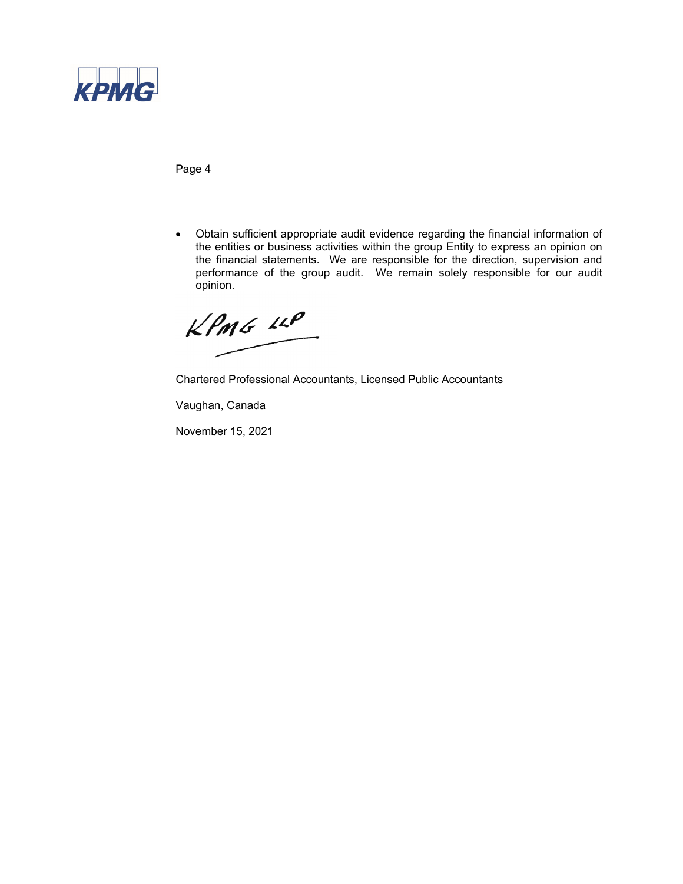

Page 4

 Obtain sufficient appropriate audit evidence regarding the financial information of the entities or business activities within the group Entity to express an opinion on the financial statements. We are responsible for the direction, supervision and performance of the group audit. We remain solely responsible for our audit opinion.

 $KPMG$   $10P$ 

Chartered Professional Accountants, Licensed Public Accountants

Vaughan, Canada

November 15, 2021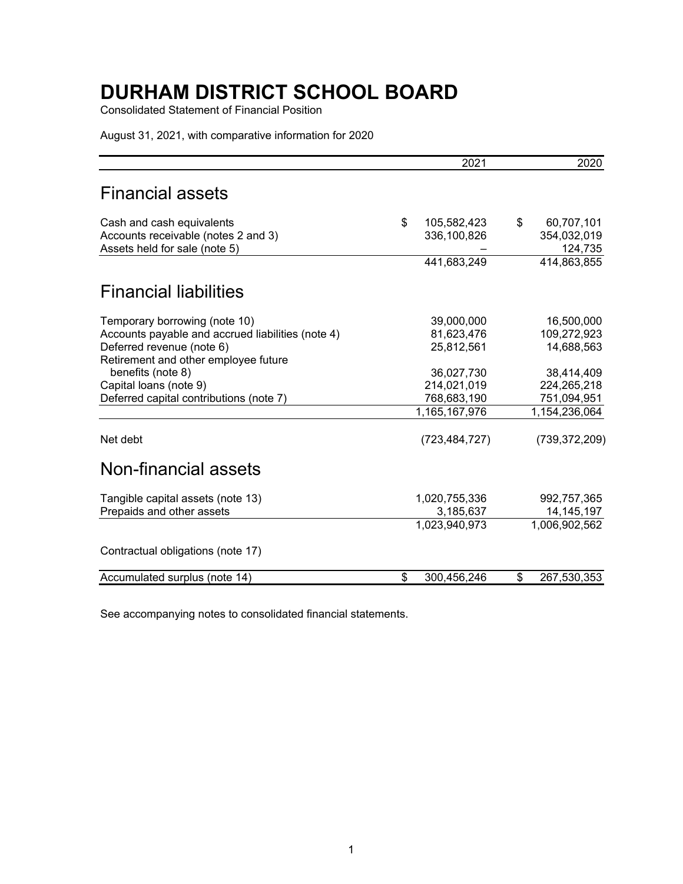<span id="page-8-0"></span>Consolidated Statement of Financial Position

August 31, 2021, with comparative information for 2020

|                                                                      | 2021              | 2020                   |
|----------------------------------------------------------------------|-------------------|------------------------|
| <b>Financial assets</b>                                              |                   |                        |
| Cash and cash equivalents                                            | \$<br>105,582,423 | \$<br>60,707,101       |
| Accounts receivable (notes 2 and 3)<br>Assets held for sale (note 5) | 336,100,826       | 354,032,019<br>124,735 |
|                                                                      | 441,683,249       | 414,863,855            |
| <b>Financial liabilities</b>                                         |                   |                        |
| Temporary borrowing (note 10)                                        | 39,000,000        | 16,500,000             |
| Accounts payable and accrued liabilities (note 4)                    | 81,623,476        | 109,272,923            |
| Deferred revenue (note 6)                                            | 25,812,561        | 14,688,563             |
| Retirement and other employee future                                 |                   |                        |
| benefits (note 8)                                                    | 36,027,730        | 38,414,409             |
| Capital loans (note 9)                                               | 214,021,019       | 224,265,218            |
| Deferred capital contributions (note 7)                              | 768,683,190       | 751,094,951            |
|                                                                      | 1,165,167,976     | 1,154,236,064          |
| Net debt                                                             | (723, 484, 727)   | (739, 372, 209)        |
| Non-financial assets                                                 |                   |                        |
| Tangible capital assets (note 13)                                    | 1,020,755,336     | 992,757,365            |
| Prepaids and other assets                                            | 3,185,637         | 14, 145, 197           |
|                                                                      | 1,023,940,973     | 1,006,902,562          |
| Contractual obligations (note 17)                                    |                   |                        |
| Accumulated surplus (note 14)                                        | \$<br>300,456,246 | \$<br>267,530,353      |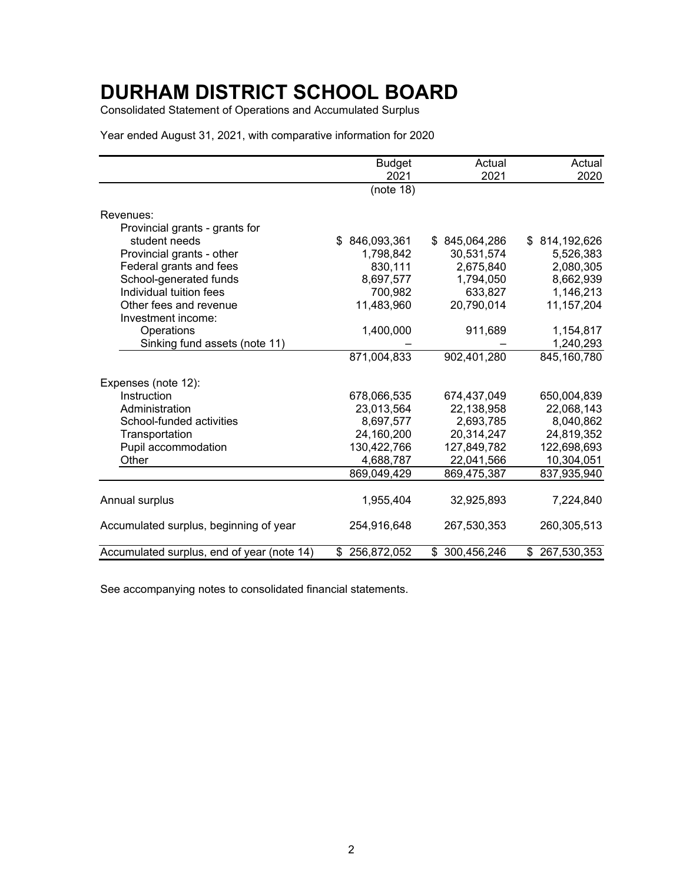<span id="page-9-0"></span>Consolidated Statement of Operations and Accumulated Surplus

### Year ended August 31, 2021, with comparative information for 2020

|                                            | <b>Budget</b>     | Actual<br>2021    | Actual            |
|--------------------------------------------|-------------------|-------------------|-------------------|
|                                            | 2021<br>(note 18) |                   | 2020              |
|                                            |                   |                   |                   |
| Revenues:                                  |                   |                   |                   |
| Provincial grants - grants for             |                   |                   |                   |
| student needs                              | 846,093,361<br>\$ | 845,064,286<br>\$ | 814,192,626<br>\$ |
| Provincial grants - other                  | 1,798,842         | 30,531,574        | 5,526,383         |
| Federal grants and fees                    | 830,111           | 2,675,840         | 2,080,305         |
| School-generated funds                     | 8,697,577         | 1,794,050         | 8,662,939         |
| Individual tuition fees                    | 700,982           | 633,827           | 1,146,213         |
| Other fees and revenue                     | 11,483,960        | 20,790,014        | 11, 157, 204      |
| Investment income:                         |                   |                   |                   |
| Operations                                 | 1,400,000         | 911,689           | 1,154,817         |
| Sinking fund assets (note 11)              |                   |                   | 1,240,293         |
|                                            | 871,004,833       | 902,401,280       | 845,160,780       |
| Expenses (note 12):                        |                   |                   |                   |
| Instruction                                | 678,066,535       | 674,437,049       | 650,004,839       |
| Administration                             | 23,013,564        | 22,138,958        | 22,068,143        |
| School-funded activities                   | 8,697,577         | 2,693,785         | 8,040,862         |
| Transportation                             | 24,160,200        | 20,314,247        | 24,819,352        |
| Pupil accommodation                        | 130,422,766       | 127,849,782       | 122,698,693       |
| Other                                      | 4,688,787         | 22,041,566        | 10,304,051        |
|                                            | 869,049,429       | 869,475,387       | 837,935,940       |
|                                            |                   |                   |                   |
| Annual surplus                             | 1,955,404         | 32,925,893        | 7,224,840         |
| Accumulated surplus, beginning of year     | 254,916,648       | 267,530,353       | 260,305,513       |
| Accumulated surplus, end of year (note 14) | \$256,872,052     | 300,456,246<br>\$ | \$267,530,353     |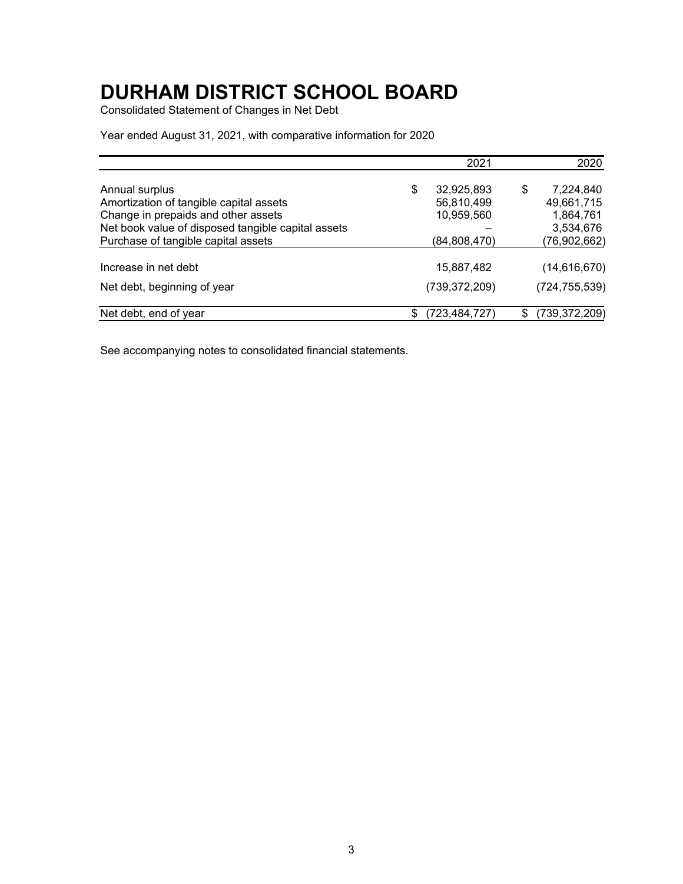<span id="page-10-0"></span>Consolidated Statement of Changes in Net Debt

### Year ended August 31, 2021, with comparative information for 2020

|                                                    | 2021                | 2020                  |
|----------------------------------------------------|---------------------|-----------------------|
| Annual surplus                                     | \$<br>32,925,893    | \$<br>7,224,840       |
| Amortization of tangible capital assets            | 56,810,499          | 49,661,715            |
| Change in prepaids and other assets                | 10,959,560          | 1,864,761             |
| Net book value of disposed tangible capital assets |                     | 3,534,676             |
| Purchase of tangible capital assets                | (84, 808, 470)      | (76,902,662)          |
| Increase in net debt                               | 15,887,482          | (14,616,670)          |
| Net debt, beginning of year                        | (739,372,209)       | (724, 755, 539)       |
| Net debt, end of year                              | \$<br>(723,484,727) | \$<br>(739, 372, 209) |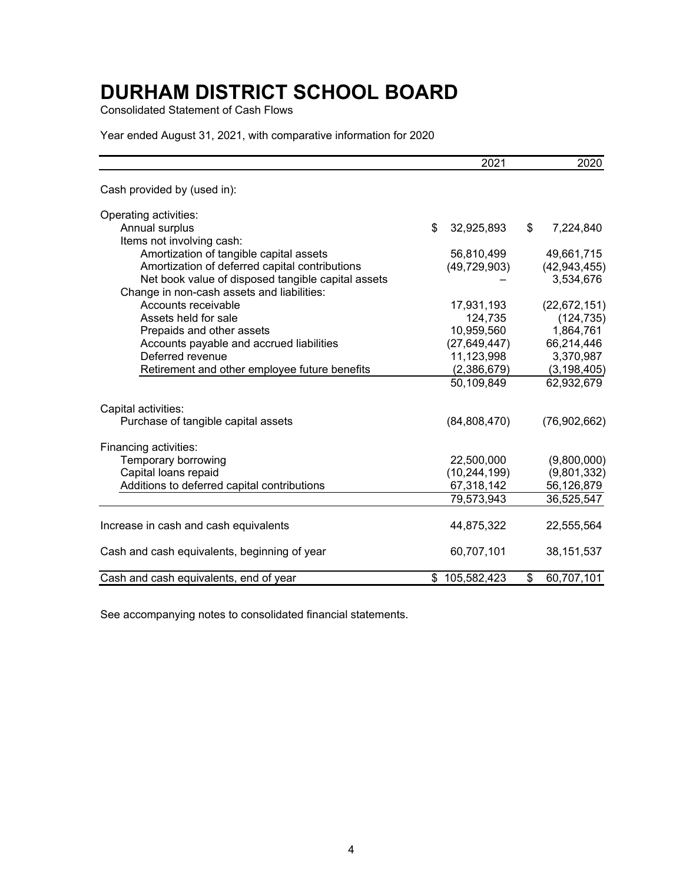<span id="page-11-0"></span>Consolidated Statement of Cash Flows

Year ended August 31, 2021, with comparative information for 2020

|                                                    | 2021              | 2020             |
|----------------------------------------------------|-------------------|------------------|
| Cash provided by (used in):                        |                   |                  |
| Operating activities:                              |                   |                  |
| Annual surplus                                     | \$<br>32,925,893  | \$<br>7,224,840  |
| Items not involving cash:                          |                   |                  |
| Amortization of tangible capital assets            | 56,810,499        | 49,661,715       |
| Amortization of deferred capital contributions     | (49, 729, 903)    | (42, 943, 455)   |
| Net book value of disposed tangible capital assets |                   | 3,534,676        |
| Change in non-cash assets and liabilities:         |                   |                  |
| Accounts receivable                                | 17,931,193        | (22, 672, 151)   |
| Assets held for sale                               | 124,735           | (124, 735)       |
| Prepaids and other assets                          | 10,959,560        | 1,864,761        |
| Accounts payable and accrued liabilities           | (27, 649, 447)    | 66,214,446       |
| Deferred revenue                                   | 11,123,998        | 3,370,987        |
| Retirement and other employee future benefits      | (2,386,679)       | (3, 198, 405)    |
|                                                    | 50,109,849        | 62,932,679       |
| Capital activities:                                |                   |                  |
| Purchase of tangible capital assets                | (84,808,470)      | (76,902,662)     |
| Financing activities:                              |                   |                  |
| Temporary borrowing                                | 22,500,000        | (9,800,000)      |
| Capital loans repaid                               | (10, 244, 199)    | (9,801,332)      |
| Additions to deferred capital contributions        | 67,318,142        | 56,126,879       |
|                                                    | 79,573,943        | 36,525,547       |
| Increase in cash and cash equivalents              | 44,875,322        | 22,555,564       |
| Cash and cash equivalents, beginning of year       | 60,707,101        | 38,151,537       |
| Cash and cash equivalents, end of year             | \$<br>105,582,423 | \$<br>60,707,101 |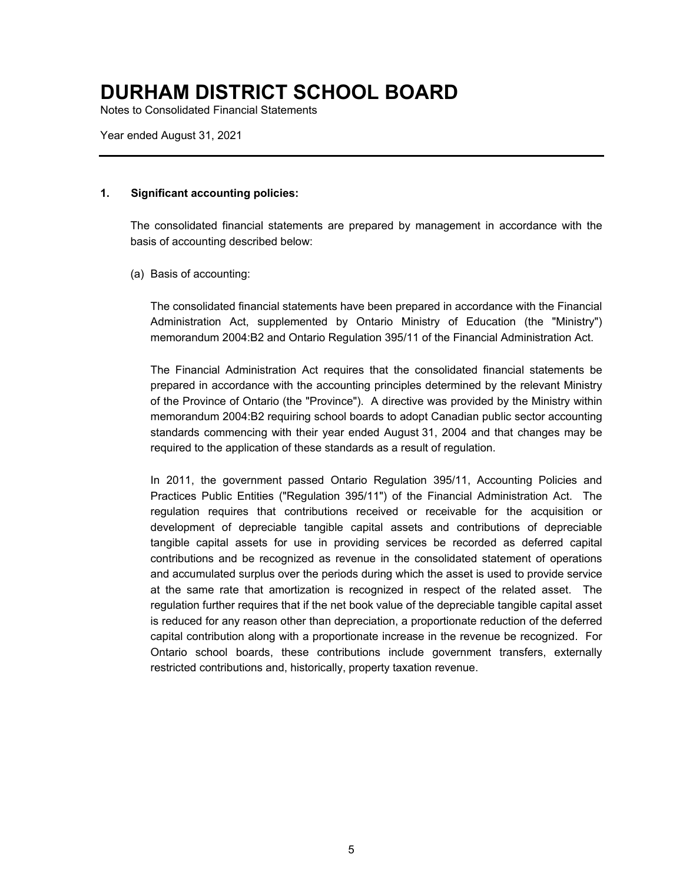<span id="page-12-0"></span>Notes to Consolidated Financial Statements

Year ended August 31, 2021

#### **1. Significant accounting policies:**

The consolidated financial statements are prepared by management in accordance with the basis of accounting described below:

(a) Basis of accounting:

The consolidated financial statements have been prepared in accordance with the Financial Administration Act, supplemented by Ontario Ministry of Education (the "Ministry") memorandum 2004:B2 and Ontario Regulation 395/11 of the Financial Administration Act.

The Financial Administration Act requires that the consolidated financial statements be prepared in accordance with the accounting principles determined by the relevant Ministry of the Province of Ontario (the "Province"). A directive was provided by the Ministry within memorandum 2004:B2 requiring school boards to adopt Canadian public sector accounting standards commencing with their year ended August 31, 2004 and that changes may be required to the application of these standards as a result of regulation.

In 2011, the government passed Ontario Regulation 395/11, Accounting Policies and Practices Public Entities ("Regulation 395/11") of the Financial Administration Act. The regulation requires that contributions received or receivable for the acquisition or development of depreciable tangible capital assets and contributions of depreciable tangible capital assets for use in providing services be recorded as deferred capital contributions and be recognized as revenue in the consolidated statement of operations and accumulated surplus over the periods during which the asset is used to provide service at the same rate that amortization is recognized in respect of the related asset. The regulation further requires that if the net book value of the depreciable tangible capital asset is reduced for any reason other than depreciation, a proportionate reduction of the deferred capital contribution along with a proportionate increase in the revenue be recognized. For Ontario school boards, these contributions include government transfers, externally restricted contributions and, historically, property taxation revenue.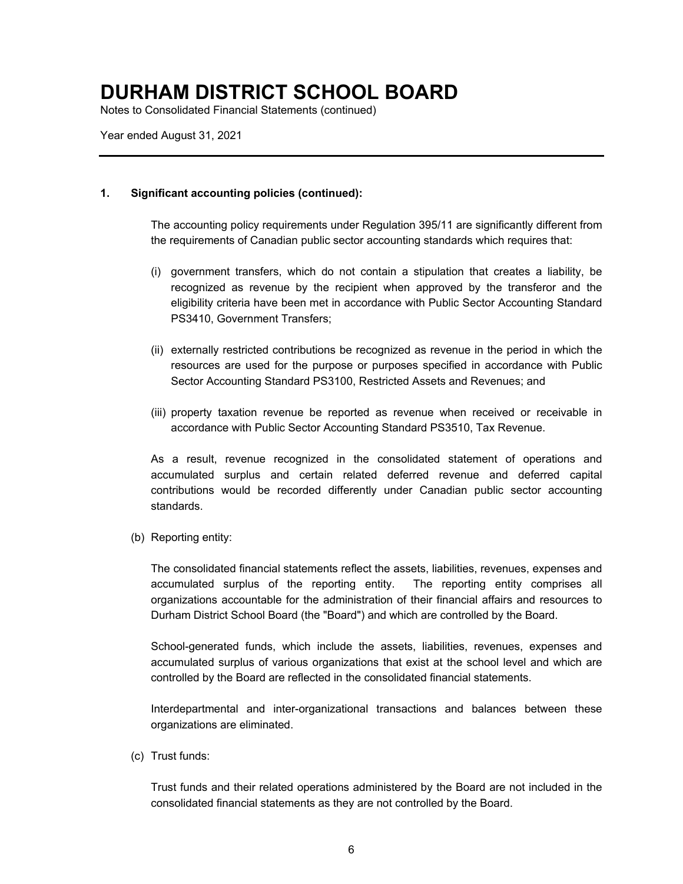Notes to Consolidated Financial Statements (continued)

Year ended August 31, 2021

#### **1. Significant accounting policies (continued):**

The accounting policy requirements under Regulation 395/11 are significantly different from the requirements of Canadian public sector accounting standards which requires that:

- (i) government transfers, which do not contain a stipulation that creates a liability, be recognized as revenue by the recipient when approved by the transferor and the eligibility criteria have been met in accordance with Public Sector Accounting Standard PS3410, Government Transfers;
- (ii) externally restricted contributions be recognized as revenue in the period in which the resources are used for the purpose or purposes specified in accordance with Public Sector Accounting Standard PS3100, Restricted Assets and Revenues; and
- (iii) property taxation revenue be reported as revenue when received or receivable in accordance with Public Sector Accounting Standard PS3510, Tax Revenue.

As a result, revenue recognized in the consolidated statement of operations and accumulated surplus and certain related deferred revenue and deferred capital contributions would be recorded differently under Canadian public sector accounting standards.

(b) Reporting entity:

The consolidated financial statements reflect the assets, liabilities, revenues, expenses and accumulated surplus of the reporting entity. The reporting entity comprises all organizations accountable for the administration of their financial affairs and resources to Durham District School Board (the "Board") and which are controlled by the Board.

School-generated funds, which include the assets, liabilities, revenues, expenses and accumulated surplus of various organizations that exist at the school level and which are controlled by the Board are reflected in the consolidated financial statements.

Interdepartmental and inter-organizational transactions and balances between these organizations are eliminated.

(c) Trust funds:

Trust funds and their related operations administered by the Board are not included in the consolidated financial statements as they are not controlled by the Board.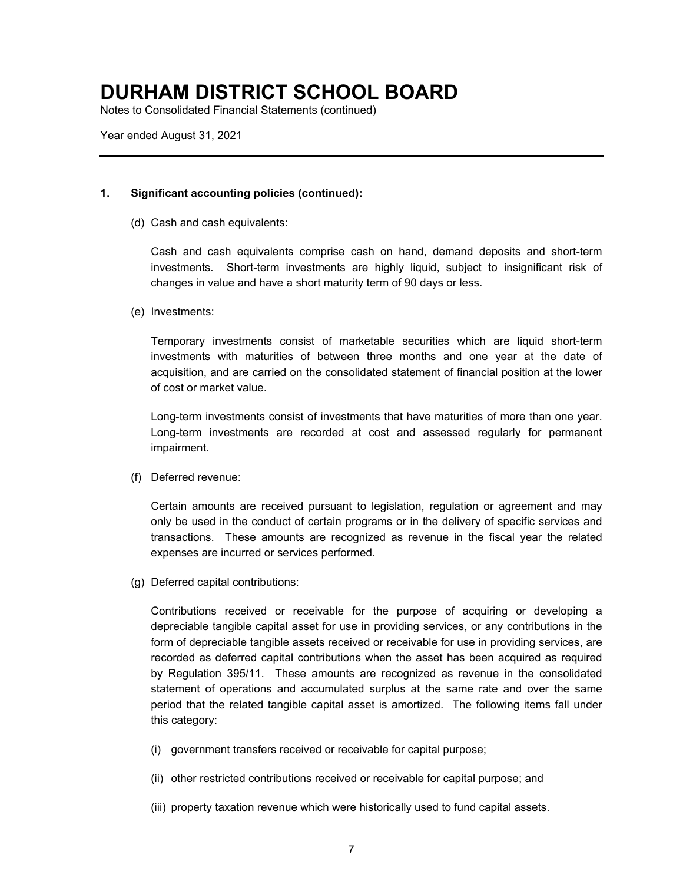Notes to Consolidated Financial Statements (continued)

Year ended August 31, 2021

#### **1. Significant accounting policies (continued):**

(d) Cash and cash equivalents:

Cash and cash equivalents comprise cash on hand, demand deposits and short-term investments. Short-term investments are highly liquid, subject to insignificant risk of changes in value and have a short maturity term of 90 days or less.

(e) Investments:

Temporary investments consist of marketable securities which are liquid short-term investments with maturities of between three months and one year at the date of acquisition, and are carried on the consolidated statement of financial position at the lower of cost or market value.

Long-term investments consist of investments that have maturities of more than one year.<br>Long-term investments are recorded at cost and assessed regularly for permanent impairment.

(f) Deferred revenue:

Certain amounts are received pursuant to legislation, regulation or agreement and may only be used in the conduct of certain programs or in the delivery of specific services and transactions. These amounts are recognized as revenue in the fiscal year the related expenses are incurred or services performed.

(g) Deferred capital contributions:

Contributions received or receivable for the purpose of acquiring or developing a depreciable tangible capital asset for use in providing services, or any contributions in the form of depreciable tangible assets received or receivable for use in providing services, are recorded as deferred capital contributions when the asset has been acquired as required by Regulation 395/11. These amounts are recognized as revenue in the consolidated statement of operations and accumulated surplus at the same rate and over the same period that the related tangible capital asset is amortized. The following items fall under this category:

- (i) government transfers received or receivable for capital purpose;
- (ii) other restricted contributions received or receivable for capital purpose; and
- (iii) property taxation revenue which were historically used to fund capital assets.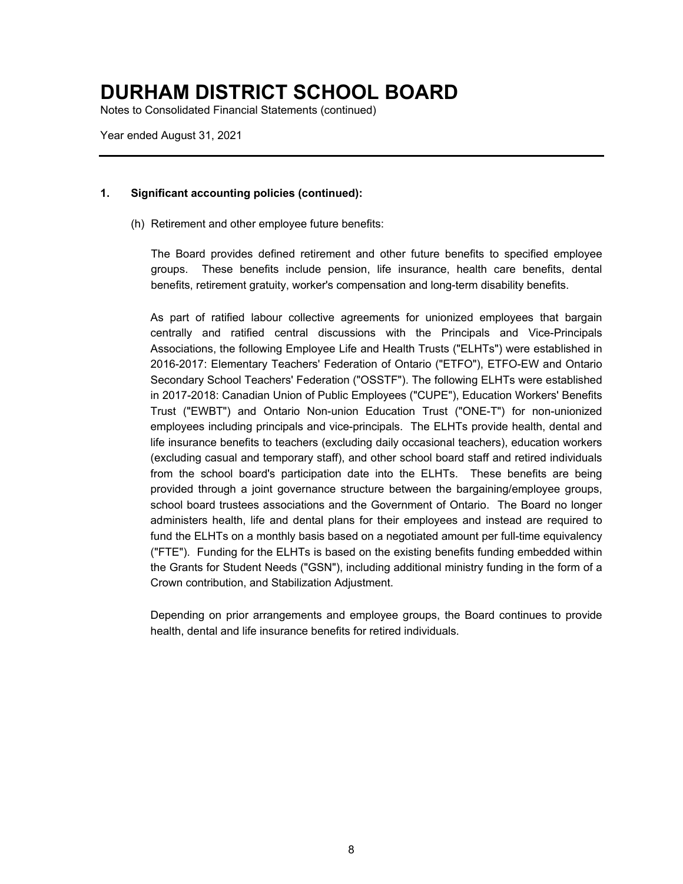Notes to Consolidated Financial Statements (continued)

Year ended August 31, 2021

#### **1. Significant accounting policies (continued):**

(h) Retirement and other employee future benefits:

The Board provides defined retirement and other future benefits to specified employee groups. These benefits include pension, life insurance, health care benefits, dental benefits, retirement gratuity, worker's compensation and long-term disability benefits.

As part of ratified labour collective agreements for unionized employees that bargain centrally and ratified central discussions with the Principals and Vice-Principals Associations, the following Employee Life and Health Trusts ("ELHTs") were established in 2016-2017: Elementary Teachers' Federation of Ontario ("ETFO"), ETFO-EW and Ontario Secondary School Teachers' Federation ("OSSTF"). The following ELHTs were established in 2017-2018: Canadian Union of Public Employees ("CUPE"), Education Workers' Benefits Trust ("EWBT") and Ontario Non-union Education Trust ("ONE-T") for non-unionized employees including principals and vice-principals. The ELHTs provide health, dental and life insurance benefits to teachers (excluding daily occasional teachers), education workers (excluding casual and temporary staff), and other school board staff and retired individuals from the school board's participation date into the ELHTs. These benefits are being provided through a joint governance structure between the bargaining/employee groups, school board trustees associations and the Government of Ontario. The Board no longer administers health, life and dental plans for their employees and instead are required to fund the ELHTs on a monthly basis based on a negotiated amount per full-time equivalency ("FTE"). Funding for the ELHTs is based on the existing benefits funding embedded within the Grants for Student Needs ("GSN"), including additional ministry funding in the form of a Crown contribution, and Stabilization Adjustment.

Depending on prior arrangements and employee groups, the Board continues to provide health, dental and life insurance benefits for retired individuals.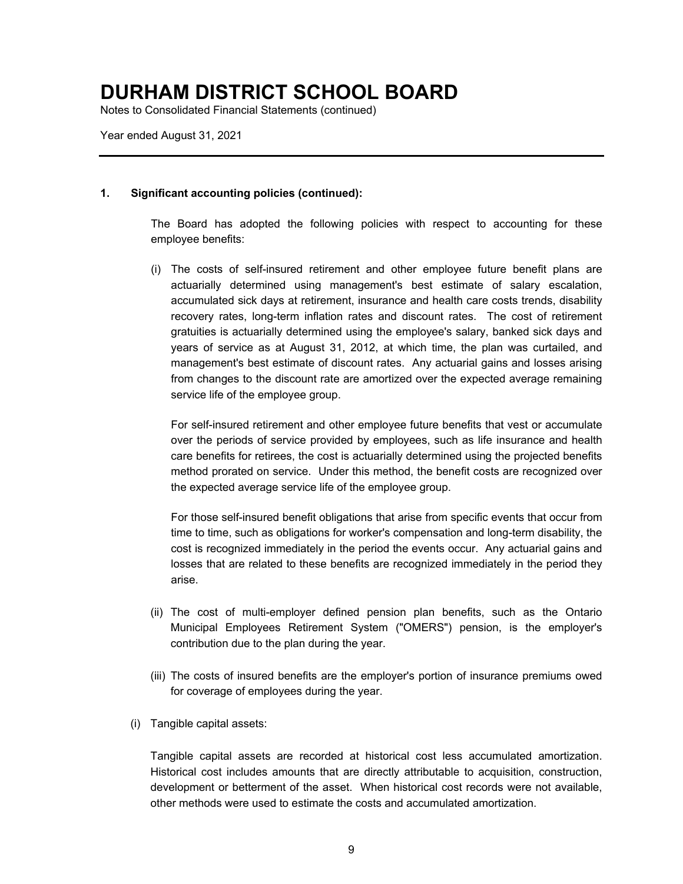Notes to Consolidated Financial Statements (continued)

Year ended August 31, 2021

#### **1. Significant accounting policies (continued):**

The Board has adopted the following policies with respect to accounting for these employee benefits:

(i) The costs of self-insured retirement and other employee future benefit plans are actuarially determined using management's best estimate of salary escalation, accumulated sick days at retirement, insurance and health care costs trends, disability recovery rates, long-term inflation rates and discount rates. The cost of retirement gratuities is actuarially determined using the employee's salary, banked sick days and years of service as at August 31, 2012, at which time, the plan was curtailed, and management's best estimate of discount rates. Any actuarial gains and losses arising from changes to the discount rate are amortized over the expected average remaining service life of the employee group.

For self-insured retirement and other employee future benefits that vest or accumulate over the periods of service provided by employees, such as life insurance and health care benefits for retirees, the cost is actuarially determined using the projected benefits method prorated on service. Under this method, the benefit costs are recognized over the expected average service life of the employee group.

For those self-insured benefit obligations that arise from specific events that occur from time to time, such as obligations for worker's compensation and long-term disability, the cost is recognized immediately in the period the events occur. Any actuarial gains and losses that are related to these benefits are recognized immediately in the period they arise.

- (ii) The cost of multi-employer defined pension plan benefits, such as the Ontario Municipal Employees Retirement System ("OMERS") pension, is the employer's contribution due to the plan during the year.
- (iii) The costs of insured benefits are the employer's portion of insurance premiums owed for coverage of employees during the year.
- (i) Tangible capital assets:

Tangible capital assets are recorded at historical cost less accumulated amortization. Historical cost includes amounts that are directly attributable to acquisition, construction, development or betterment of the asset. When historical cost records were not available, other methods were used to estimate the costs and accumulated amortization.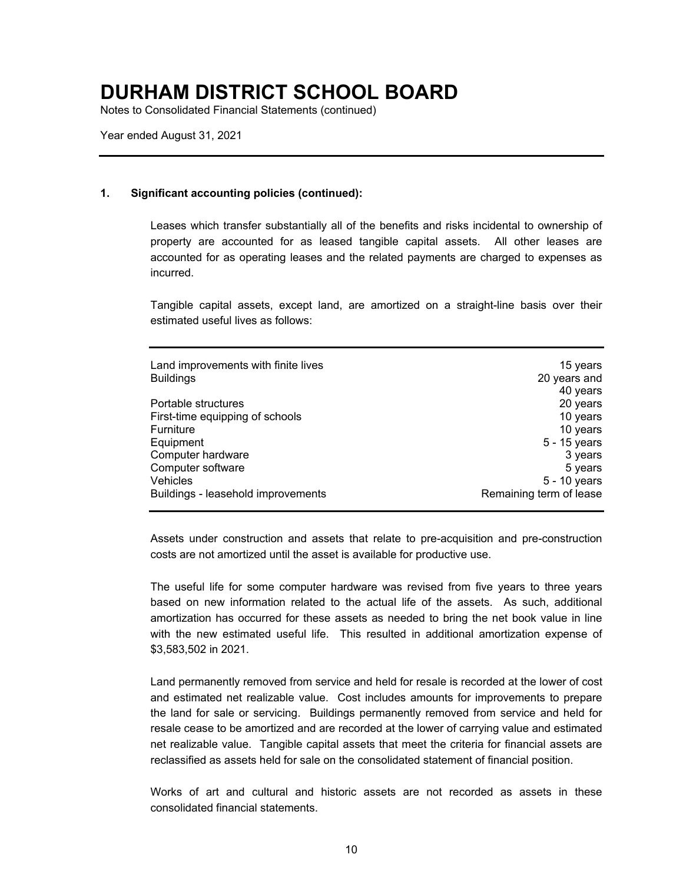Notes to Consolidated Financial Statements (continued)

Year ended August 31, 2021

#### **1. Significant accounting policies (continued):**

Leases which transfer substantially all of the benefits and risks incidental to ownership of property are accounted for as leased tangible capital assets. All other leases are accounted for as operating leases and the related payments are charged to expenses as incurred.

Tangible capital assets, except land, are amortized on a straight-line basis over their estimated useful lives as follows:

| Land improvements with finite lives<br><b>Buildings</b> | 15 years<br>20 years and<br>40 years |
|---------------------------------------------------------|--------------------------------------|
| Portable structures                                     | 20 years                             |
| First-time equipping of schools                         | 10 years                             |
| Furniture                                               | 10 years                             |
| Equipment                                               | $5 - 15$ years                       |
| Computer hardware                                       | 3 years                              |
| Computer software                                       | 5 years                              |
| Vehicles                                                | $5 - 10$ years                       |
| Buildings - leasehold improvements                      | Remaining term of lease              |

Assets under construction and assets that relate to pre-acquisition and pre-construction costs are not amortized until the asset is available for productive use.

The useful life for some computer hardware was revised from five years to three years based on new information related to the actual life of the assets. As such, additional amortization has occurred for these assets as needed to bring the net book value in line with the new estimated useful life. This resulted in additional amortization expense of \$3,583,502 in 2021.

Land permanently removed from service and held for resale is recorded at the lower of cost and estimated net realizable value. Cost includes amounts for improvements to prepare the land for sale or servicing. Buildings permanently removed from service and held for resale cease to be amortized and are recorded at the lower of carrying value and estimated net realizable value. Tangible capital assets that meet the criteria for financial assets are reclassified as assets held for sale on the consolidated statement of financial position.

Works of art and cultural and historic assets are not recorded as assets in these consolidated financial statements.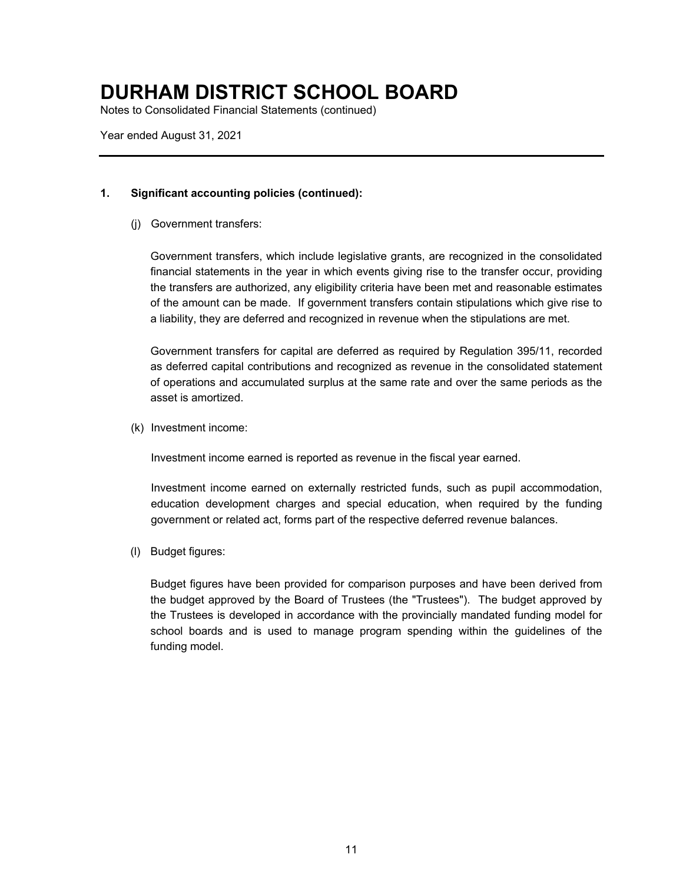Notes to Consolidated Financial Statements (continued)

Year ended August 31, 2021

### **1. Significant accounting policies (continued):**

(j) Government transfers:

Government transfers, which include legislative grants, are recognized in the consolidated financial statements in the year in which events giving rise to the transfer occur, providing the transfers are authorized, any eligibility criteria have been met and reasonable estimates of the amount can be made. If government transfers contain stipulations which give rise to a liability, they are deferred and recognized in revenue when the stipulations are met.

Government transfers for capital are deferred as required by Regulation 395/11, recorded as deferred capital contributions and recognized as revenue in the consolidated statement of operations and accumulated surplus at the same rate and over the same periods as the asset is amortized.

(k) Investment income:

Investment income earned is reported as revenue in the fiscal year earned.

Investment income earned on externally restricted funds, such as pupil accommodation, education development charges and special education, when required by the funding government or related act, forms part of the respective deferred revenue balances.

(l) Budget figures:

Budget figures have been provided for comparison purposes and have been derived from the budget approved by the Board of Trustees (the "Trustees"). The budget approved by the Trustees is developed in accordance with the provincially mandated funding model for school boards and is used to manage program spending within the guidelines of the funding model.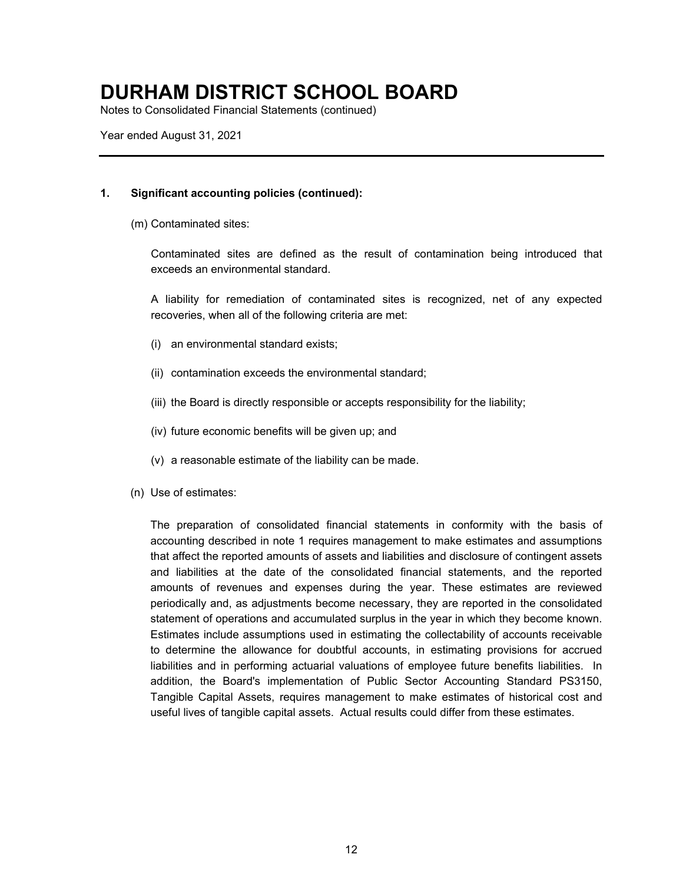Notes to Consolidated Financial Statements (continued)

Year ended August 31, 2021

#### **1. Significant accounting policies (continued):**

(m) Contaminated sites:

Contaminated sites are defined as the result of contamination being introduced that exceeds an environmental standard.

A liability for remediation of contaminated sites is recognized, net of any expected recoveries, when all of the following criteria are met:

- (i) an environmental standard exists;
- (ii) contamination exceeds the environmental standard;
- (iii) the Board is directly responsible or accepts responsibility for the liability;
- (iv) future economic benefits will be given up; and
- (v) a reasonable estimate of the liability can be made.
- (n) Use of estimates:

The preparation of consolidated financial statements in conformity with the basis of accounting described in note 1 requires management to make estimates and assumptions that affect the reported amounts of assets and liabilities and disclosure of contingent assets and liabilities at the date of the consolidated financial statements, and the reported amounts of revenues and expenses during the year. These estimates are reviewed periodically and, as adjustments become necessary, they are reported in the consolidated statement of operations and accumulated surplus in the year in which they become known. Estimates include assumptions used in estimating the collectability of accounts receivable to determine the allowance for doubtful accounts, in estimating provisions for accrued liabilities and in performing actuarial valuations of employee future benefits liabilities. In addition, the Board's implementation of Public Sector Accounting Standard PS3150, Tangible Capital Assets, requires management to make estimates of historical cost and useful lives of tangible capital assets. Actual results could differ from these estimates.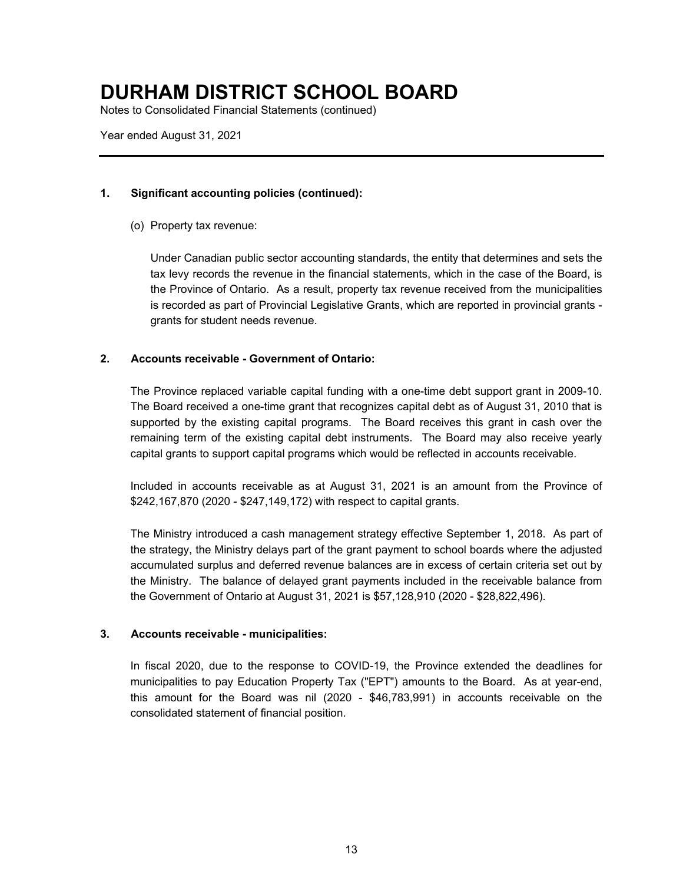Notes to Consolidated Financial Statements (continued)

Year ended August 31, 2021

### **1. Significant accounting policies (continued):**

(o) Property tax revenue:

Under Canadian public sector accounting standards, the entity that determines and sets the tax levy records the revenue in the financial statements, which in the case of the Board, is the Province of Ontario. As a result, property tax revenue received from the municipalities is recorded as part of Provincial Legislative Grants, which are reported in provincial grants grants for student needs revenue.

### **2. Accounts receivable - Government of Ontario:**

The Province replaced variable capital funding with a one-time debt support grant in 2009-10. The Board received a one-time grant that recognizes capital debt as of August 31, 2010 that is supported by the existing capital programs. The Board receives this grant in cash over the remaining term of the existing capital debt instruments. The Board may also receive yearly capital grants to support capital programs which would be reflected in accounts receivable.

Included in accounts receivable as at August 31, 2021 is an amount from the Province of \$242,167,870 (2020 - \$247,149,172) with respect to capital grants.

The Ministry introduced a cash management strategy effective September 1, 2018. As part of the strategy, the Ministry delays part of the grant payment to school boards where the adjusted accumulated surplus and deferred revenue balances are in excess of certain criteria set out by the Ministry. The balance of delayed grant payments included in the receivable balance from the Government of Ontario at August 31, 2021 is \$57,128,910 (2020 - \$28,822,496).

#### **3. Accounts receivable - municipalities:**

In fiscal 2020, due to the response to COVID-19, the Province extended the deadlines for municipalities to pay Education Property Tax ("EPT") amounts to the Board. As at year-end, this amount for the Board was nil (2020 - \$46,783,991) in accounts receivable on the consolidated statement of financial position.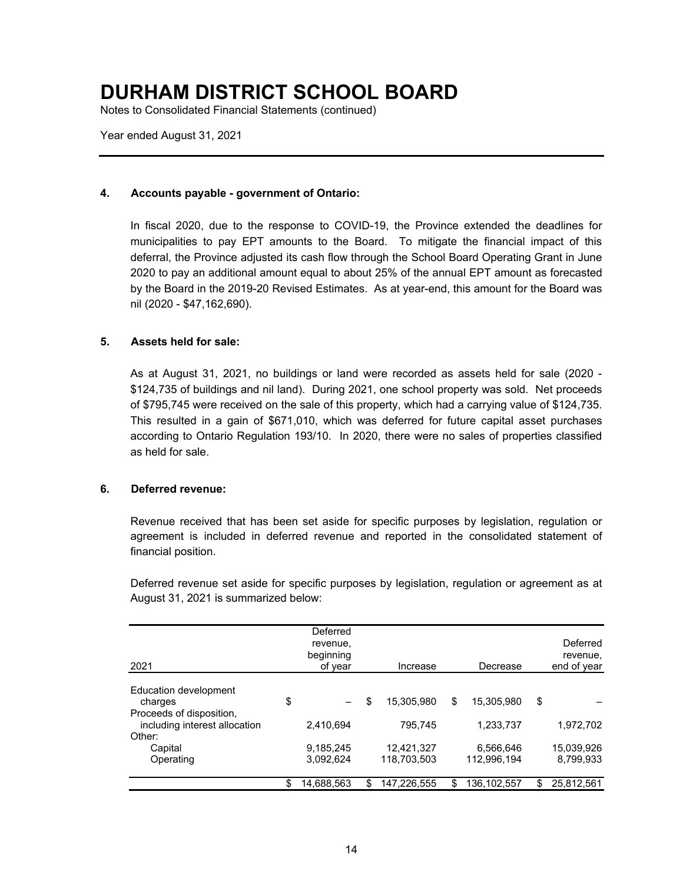Notes to Consolidated Financial Statements (continued)

Year ended August 31, 2021

#### **4. Accounts payable - government of Ontario:**

In fiscal 2020, due to the response to COVID-19, the Province extended the deadlines for municipalities to pay EPT amounts to the Board. To mitigate the financial impact of this deferral, the Province adjusted its cash flow through the School Board Operating Grant in June 2020 to pay an additional amount equal to about 25% of the annual EPT amount as forecasted by the Board in the 2019-20 Revised Estimates. As at year-end, this amount for the Board was nil (2020 - \$47,162,690).

#### **5. Assets held for sale:**

As at August 31, 2021, no buildings or land were recorded as assets held for sale (2020 - \$124,735 of buildings and nil land). During 2021, one school property was sold. Net proceeds of \$795,745 were received on the sale of this property, which had a carrying value of \$124,735. This resulted in a gain of \$671,010, which was deferred for future capital asset purchases according to Ontario Regulation 193/10. In 2020, there were no sales of properties classified as held for sale.

#### **6. Deferred revenue:**

Revenue received that has been set aside for specific purposes by legislation, regulation or agreement is included in deferred revenue and reported in the consolidated statement of financial position.

Deferred revenue set aside for specific purposes by legislation, regulation or agreement as at August 31, 2021 is summarized below:

| 2021                          | Deferred<br>revenue,<br>beginning<br>of year | Increase          | Decrease         | Deferred<br>revenue,<br>end of year |
|-------------------------------|----------------------------------------------|-------------------|------------------|-------------------------------------|
| Education development         |                                              |                   |                  |                                     |
| charges                       | \$<br>—                                      | \$<br>15.305.980  | \$<br>15.305.980 | \$                                  |
| Proceeds of disposition,      |                                              |                   |                  |                                     |
| including interest allocation | 2.410.694                                    | 795,745           | 1.233.737        | 1,972,702                           |
| Other:                        |                                              |                   |                  |                                     |
| Capital                       | 9.185.245                                    | 12,421,327        | 6.566.646        | 15,039,926                          |
| Operating                     | 3.092.624                                    | 118.703.503       | 112,996,194      | 8,799,933                           |
|                               | 14,688,563                                   | \$<br>147,226,555 | 136,102,557      | \$<br>25,812,561                    |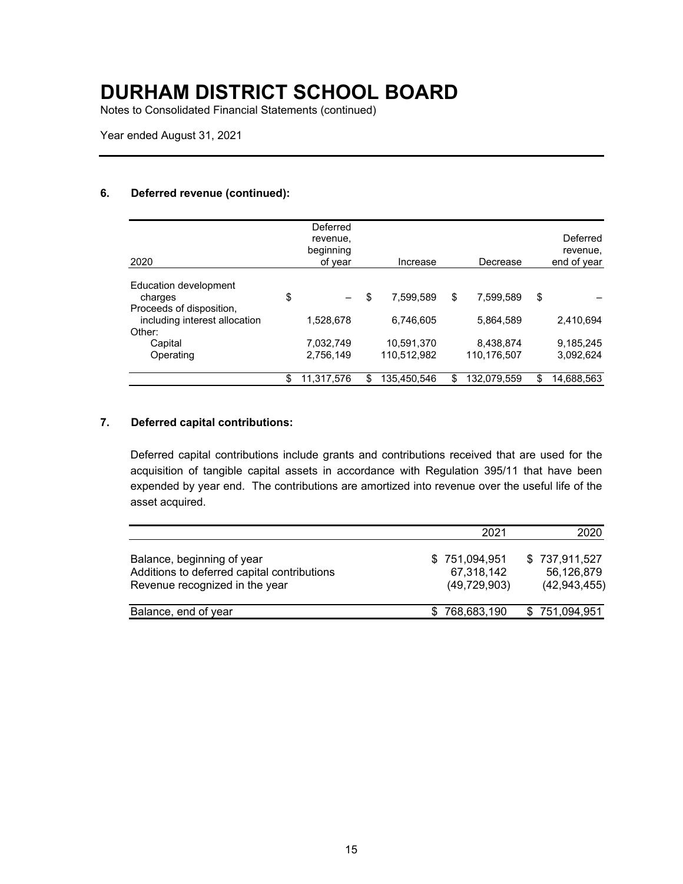Notes to Consolidated Financial Statements (continued)

Year ended August 31, 2021

#### **6. Deferred revenue (continued):**

| 2020                          | Deferred<br>revenue,<br>beginning<br>of year |    | Increase    |    | Decrease    | Deferred<br>revenue.<br>end of year |
|-------------------------------|----------------------------------------------|----|-------------|----|-------------|-------------------------------------|
|                               |                                              |    |             |    |             |                                     |
| Education development         |                                              |    |             |    |             |                                     |
| charges                       | \$                                           | \$ | 7,599,589   | \$ | 7.599.589   | \$                                  |
| Proceeds of disposition,      |                                              |    |             |    |             |                                     |
| including interest allocation | 1,528,678                                    |    | 6.746.605   |    | 5.864.589   | 2,410,694                           |
| Other:                        |                                              |    |             |    |             |                                     |
| Capital                       | 7,032,749                                    |    | 10,591,370  |    | 8,438,874   | 9,185,245                           |
| Operating                     | 2,756,149                                    |    | 110,512,982 |    | 110,176,507 | 3,092,624                           |
|                               | \$<br>11.317.576                             | S  | 135.450.546 | S  | 132.079.559 | \$<br>14,688,563                    |

### **7. Deferred capital contributions:**

Deferred capital contributions include grants and contributions received that are used for the acquisition of tangible capital assets in accordance with Regulation 395/11 that have been expended by year end. The contributions are amortized into revenue over the useful life of the asset acquired.

|                                                                                                             | 2021                                          | 2020                                          |
|-------------------------------------------------------------------------------------------------------------|-----------------------------------------------|-----------------------------------------------|
| Balance, beginning of year<br>Additions to deferred capital contributions<br>Revenue recognized in the year | \$751,094,951<br>67,318,142<br>(49, 729, 903) | \$737,911,527<br>56,126,879<br>(42, 943, 455) |
| Balance, end of year                                                                                        | \$768,683,190                                 | \$751,094,951                                 |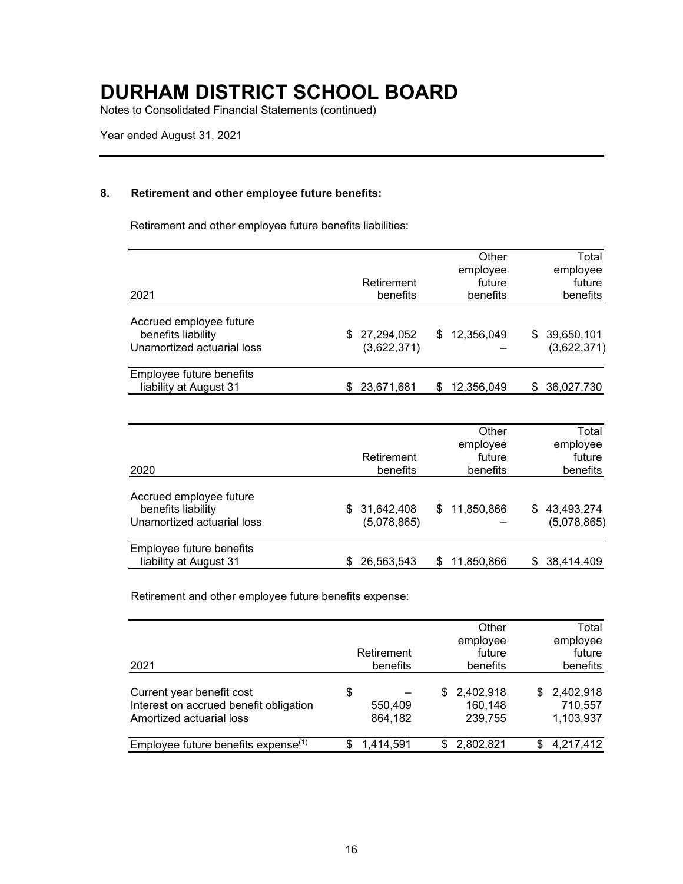Notes to Consolidated Financial Statements (continued)

Year ended August 31, 2021

### **8. Retirement and other employee future benefits:**

Retirement and other employee future benefits liabilities:

|                            |                  | Other            |     | Total       |
|----------------------------|------------------|------------------|-----|-------------|
|                            |                  | employee         |     | employee    |
|                            | Retirement       | future           |     | future      |
| 2021                       | benefits         | benefits         |     | benefits    |
| Accrued employee future    |                  |                  |     |             |
| benefits liability         | \$<br>27,294,052 | \$<br>12,356,049 | \$  | 39,650,101  |
| Unamortized actuarial loss | (3,622,371)      |                  |     | (3,622,371) |
| Employee future benefits   |                  |                  |     |             |
| liability at August 31     | \$<br>23,671,681 | \$<br>12,356,049 | \$. | 36,027,730  |
|                            |                  |                  |     |             |
|                            |                  | Other            |     | Total       |
|                            |                  | employee         |     | employee    |
|                            | Retirement       | future           |     | future      |
| 2020                       | benefits         | benefits         |     | benefits    |
|                            |                  |                  |     |             |
| Accrued employee future    |                  |                  |     |             |

| <b>ACCIDED</b> CHIPIOVEC INTER<br>benefits liability<br>Unamortized actuarial loss | \$ 31.642.408<br>(5,078,865) | \$11,850,866 | \$43,493,274<br>(5,078,865) |
|------------------------------------------------------------------------------------|------------------------------|--------------|-----------------------------|
| Employee future benefits<br>liability at August 31                                 | \$ 26.563.543                | \$11.850.866 | \$38,414,409                |

Retirement and other employee future benefits expense:

| 2021                                                                                            | Retirement<br>benefits   | Other<br>employee<br>future<br>benefits | Total<br>employee<br>future<br>benefits  |
|-------------------------------------------------------------------------------------------------|--------------------------|-----------------------------------------|------------------------------------------|
| Current year benefit cost<br>Interest on accrued benefit obligation<br>Amortized actuarial loss | \$<br>550,409<br>864,182 | \$2,402,918<br>160,148<br>239,755       | 2,402,918<br>\$.<br>710,557<br>1,103,937 |
| Employee future benefits expense $(1)$                                                          | 1,414,591                | 2,802,821                               | 4,217,412<br>S                           |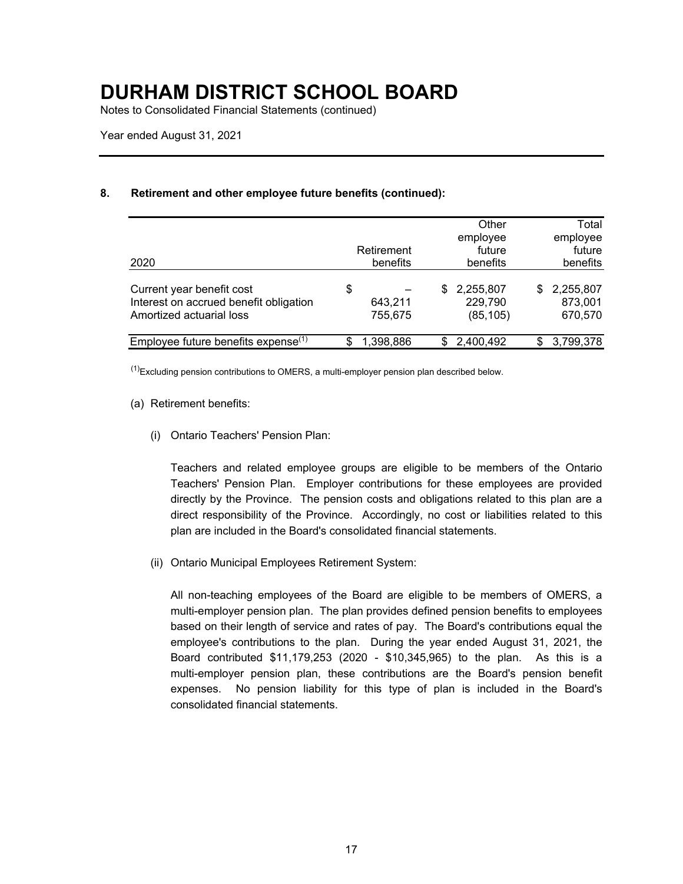Notes to Consolidated Financial Statements (continued)

Year ended August 31, 2021

### **8. Retirement and other employee future benefits (continued):**

| 2020                                                                                            | Retirement<br>benefits   | Other<br>employee<br>future<br>benefits | Total<br>employee<br>future<br>benefits |
|-------------------------------------------------------------------------------------------------|--------------------------|-----------------------------------------|-----------------------------------------|
| Current year benefit cost<br>Interest on accrued benefit obligation<br>Amortized actuarial loss | \$<br>643,211<br>755,675 | 2,255,807<br>S<br>229,790<br>(85, 105)  | 2,255,807<br>S<br>873,001<br>670,570    |
| Employee future benefits expense $(1)$                                                          | 1,398,886                | 2,400,492                               | 3,799,378                               |

 $<sup>(1)</sup>$ Excluding pension contributions to OMERS, a multi-employer pension plan described below.</sup>

- (a) Retirement benefits:
	- (i) Ontario Teachers' Pension Plan:

Teachers and related employee groups are eligible to be members of the Ontario Teachers' Pension Plan. Employer contributions for these employees are provided directly by the Province. The pension costs and obligations related to this plan are a direct responsibility of the Province. Accordingly, no cost or liabilities related to this plan are included in the Board's consolidated financial statements.

(ii) Ontario Municipal Employees Retirement System:

All non-teaching employees of the Board are eligible to be members of OMERS, a multi-employer pension plan. The plan provides defined pension benefits to employees based on their length of service and rates of pay. The Board's contributions equal the employee's contributions to the plan. During the year ended August 31, 2021, the Board contributed \$11,179,253 (2020 - \$10,345,965) to the plan. As this is a multi-employer pension plan, these contributions are the Board's pension benefit expenses. No pension liability for this type of plan is included in the Board's consolidated financial statements.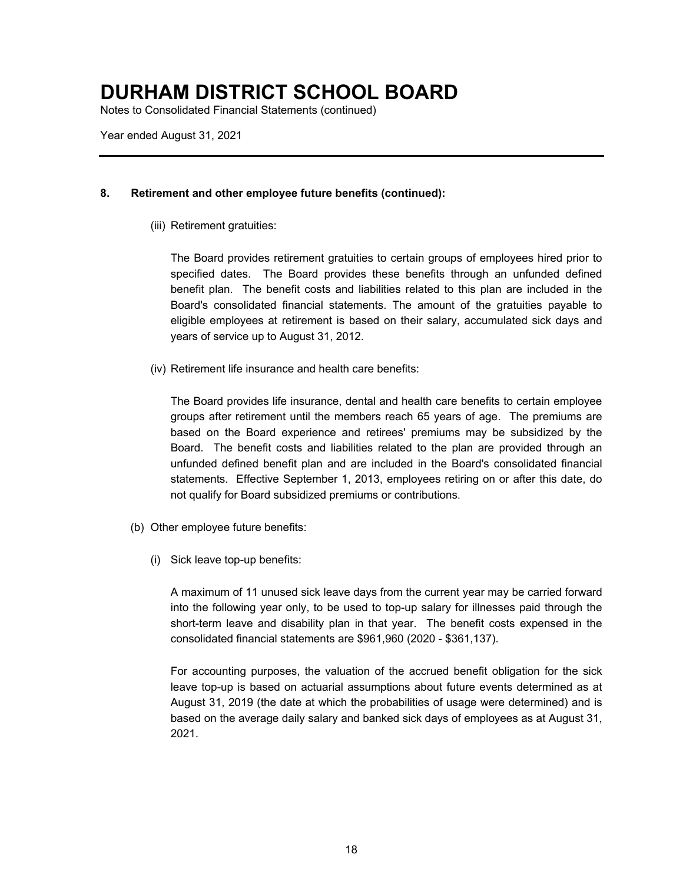Notes to Consolidated Financial Statements (continued)

Year ended August 31, 2021

### **8. Retirement and other employee future benefits (continued):**

(iii) Retirement gratuities:

The Board provides retirement gratuities to certain groups of employees hired prior to specified dates. The Board provides these benefits through an unfunded defined benefit plan. The benefit costs and liabilities related to this plan are included in the Board's consolidated financial statements. The amount of the gratuities payable to eligible employees at retirement is based on their salary, accumulated sick days and years of service up to August 31, 2012.

(iv) Retirement life insurance and health care benefits:

 not qualify for Board subsidized premiums or contributions. The Board provides life insurance, dental and health care benefits to certain employee groups after retirement until the members reach 65 years of age. The premiums are based on the Board experience and retirees' premiums may be subsidized by the Board. The benefit costs and liabilities related to the plan are provided through an unfunded defined benefit plan and are included in the Board's consolidated financial statements. Effective September 1, 2013, employees retiring on or after this date, do

- (b) Other employee future benefits:
	- (i) Sick leave top-up benefits:

A maximum of 11 unused sick leave days from the current year may be carried forward into the following year only, to be used to top-up salary for illnesses paid through the short-term leave and disability plan in that year. The benefit costs expensed in the consolidated financial statements are \$961,960 (2020 - \$361,137).

For accounting purposes, the valuation of the accrued benefit obligation for the sick leave top-up is based on actuarial assumptions about future events determined as at August 31, 2019 (the date at which the probabilities of usage were determined) and is based on the average daily salary and banked sick days of employees as at August 31, 2021.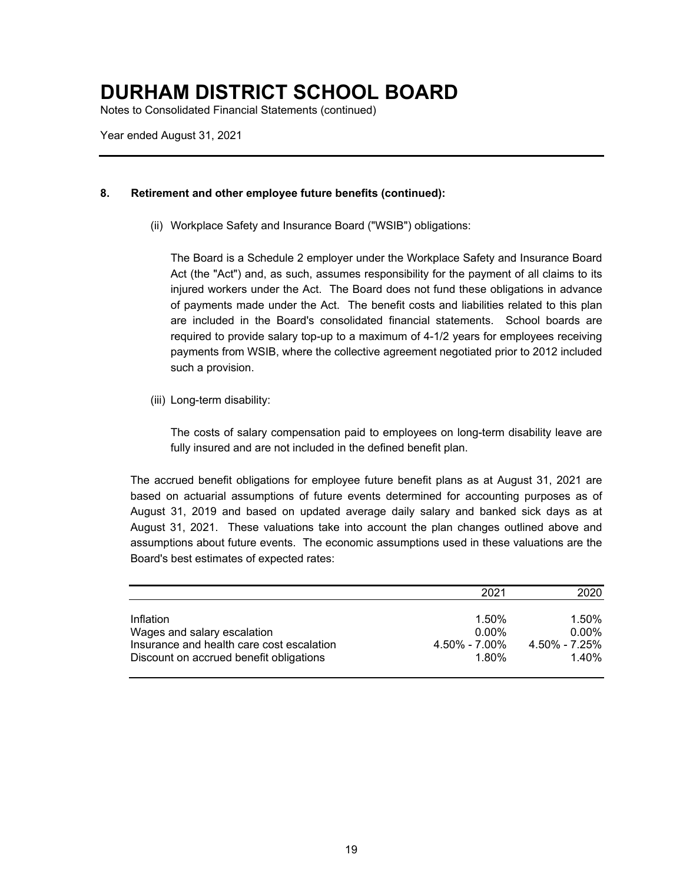Notes to Consolidated Financial Statements (continued)

Year ended August 31, 2021

### **8. Retirement and other employee future benefits (continued):**

(ii) Workplace Safety and Insurance Board ("WSIB") obligations:

 are included in the Board's consolidated financial statements. School boards are The Board is a Schedule 2 employer under the Workplace Safety and Insurance Board Act (the "Act") and, as such, assumes responsibility for the payment of all claims to its injured workers under the Act. The Board does not fund these obligations in advance of payments made under the Act. The benefit costs and liabilities related to this plan required to provide salary top-up to a maximum of 4-1/2 years for employees receiving payments from WSIB, where the collective agreement negotiated prior to 2012 included such a provision.

(iii) Long-term disability:

The costs of salary compensation paid to employees on long-term disability leave are fully insured and are not included in the defined benefit plan.

The accrued benefit obligations for employee future benefit plans as at August 31, 2021 are based on actuarial assumptions of future events determined for accounting purposes as of August 31, 2019 and based on updated average daily salary and banked sick days as at August 31, 2021. These valuations take into account the plan changes outlined above and assumptions about future events. The economic assumptions used in these valuations are the Board's best estimates of expected rates:

|                                                                                      | 2021                       | 2020                   |
|--------------------------------------------------------------------------------------|----------------------------|------------------------|
| Inflation                                                                            | 1.50%                      | 1.50%                  |
| Wages and salary escalation                                                          | $0.00\%$                   | $0.00\%$               |
| Insurance and health care cost escalation<br>Discount on accrued benefit obligations | $4.50\% - 7.00\%$<br>1.80% | 4.50% - 7.25%<br>1.40% |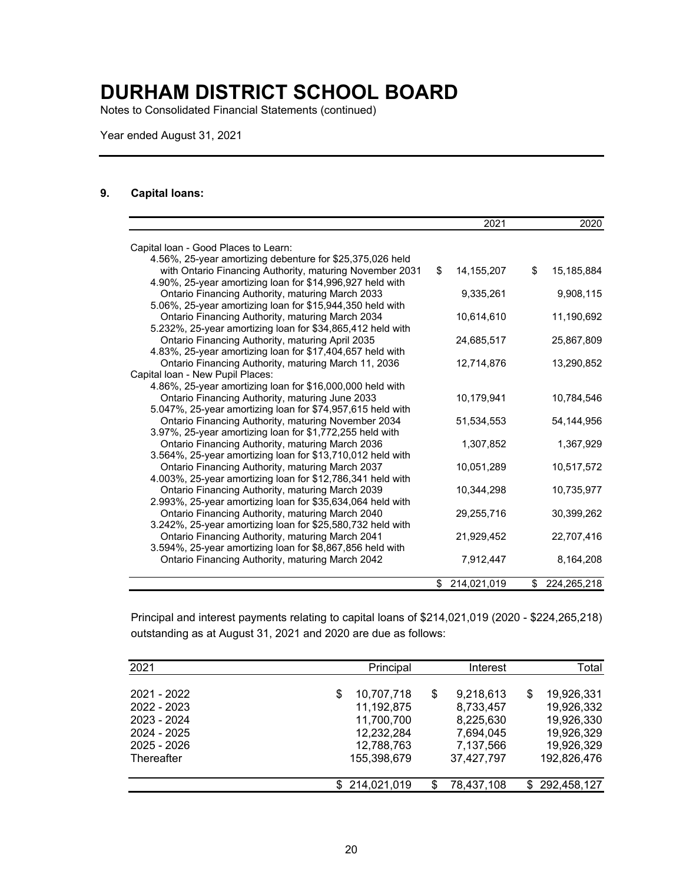Notes to Consolidated Financial Statements (continued)

Year ended August 31, 2021

### **9. Capital loans:**

|                                                            | 2021               | 2020              |
|------------------------------------------------------------|--------------------|-------------------|
| Capital Ioan - Good Places to Learn:                       |                    |                   |
| 4.56%, 25-year amortizing debenture for \$25,375,026 held  |                    |                   |
| with Ontario Financing Authority, maturing November 2031   | \$<br>14, 155, 207 | \$<br>15,185,884  |
| 4.90%, 25-year amortizing loan for \$14,996,927 held with  |                    |                   |
| Ontario Financing Authority, maturing March 2033           | 9,335,261          | 9,908,115         |
| 5.06%, 25-year amortizing loan for \$15,944,350 held with  |                    |                   |
| Ontario Financing Authority, maturing March 2034           | 10,614,610         | 11,190,692        |
| 5.232%, 25-year amortizing loan for \$34,865,412 held with |                    |                   |
| Ontario Financing Authority, maturing April 2035           | 24,685,517         | 25,867,809        |
| 4.83%, 25-year amortizing loan for \$17,404,657 held with  |                    |                   |
| Ontario Financing Authority, maturing March 11, 2036       | 12,714,876         | 13,290,852        |
| Capital Ioan - New Pupil Places:                           |                    |                   |
| 4.86%, 25-year amortizing loan for \$16,000,000 held with  |                    |                   |
| Ontario Financing Authority, maturing June 2033            | 10,179,941         | 10,784,546        |
| 5.047%, 25-year amortizing loan for \$74,957,615 held with |                    |                   |
| Ontario Financing Authority, maturing November 2034        | 51,534,553         | 54,144,956        |
| 3.97%, 25-year amortizing loan for \$1,772,255 held with   |                    |                   |
| Ontario Financing Authority, maturing March 2036           | 1,307,852          | 1,367,929         |
| 3.564%, 25-year amortizing loan for \$13,710,012 held with |                    |                   |
| Ontario Financing Authority, maturing March 2037           | 10,051,289         | 10,517,572        |
| 4.003%, 25-year amortizing loan for \$12,786,341 held with |                    |                   |
| Ontario Financing Authority, maturing March 2039           | 10,344,298         | 10,735,977        |
| 2.993%, 25-year amortizing loan for \$35,634,064 held with |                    |                   |
| Ontario Financing Authority, maturing March 2040           | 29,255,716         | 30,399,262        |
| 3.242%, 25-year amortizing loan for \$25,580,732 held with |                    |                   |
| Ontario Financing Authority, maturing March 2041           | 21,929,452         | 22,707,416        |
| 3.594%, 25-year amortizing loan for \$8,867,856 held with  |                    |                   |
| Ontario Financing Authority, maturing March 2042           | 7,912,447          | 8,164,208         |
|                                                            | \$214,021,019      | \$<br>224,265,218 |

Principal and interest payments relating to capital loans of \$214,021,019 (2020 - \$224,265,218) outstanding as at August 31, 2021 and 2020 are due as follows:

| 2021        | Principal        | Interest        |   | Total         |
|-------------|------------------|-----------------|---|---------------|
| 2021 - 2022 | 10,707,718<br>\$ | \$<br>9,218,613 | S | 19,926,331    |
| 2022 - 2023 | 11,192,875       | 8,733,457       |   | 19,926,332    |
| 2023 - 2024 | 11,700,700       | 8,225,630       |   | 19,926,330    |
| 2024 - 2025 | 12,232,284       | 7,694,045       |   | 19,926,329    |
| 2025 - 2026 | 12,788,763       | 7,137,566       |   | 19,926,329    |
| Thereafter  | 155,398,679      | 37,427,797      |   | 192,826,476   |
|             | \$214,021,019    | 78,437,108      |   | \$292,458,127 |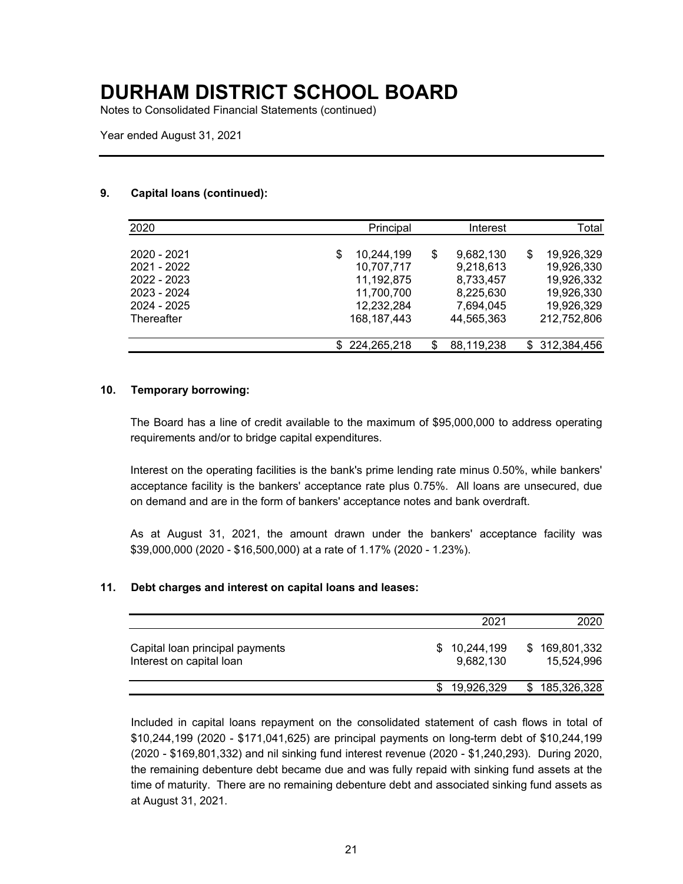Notes to Consolidated Financial Statements (continued)

Year ended August 31, 2021

#### **9. Capital loans (continued):**

| 2020        | Principal       |    | Interest   |   | Total         |
|-------------|-----------------|----|------------|---|---------------|
| 2020 - 2021 | 10,244,199<br>S | \$ | 9,682,130  | S | 19,926,329    |
| 2021 - 2022 | 10,707,717      |    | 9,218,613  |   | 19,926,330    |
| 2022 - 2023 | 11,192,875      |    | 8,733,457  |   | 19,926,332    |
| 2023 - 2024 | 11,700,700      |    | 8,225,630  |   | 19,926,330    |
| 2024 - 2025 | 12,232,284      |    | 7,694,045  |   | 19,926,329    |
| Thereafter  | 168, 187, 443   |    | 44,565,363 |   | 212,752,806   |
|             |                 |    |            |   |               |
|             | 224,265,218     | S  | 88,119,238 |   | \$312,384,456 |

#### **10. Temporary borrowing:**

The Board has a line of credit available to the maximum of \$95,000,000 to address operating requirements and/or to bridge capital expenditures.

Interest on the operating facilities is the bank's prime lending rate minus 0.50%, while bankers' acceptance facility is the bankers' acceptance rate plus 0.75%. All loans are unsecured, due on demand and are in the form of bankers' acceptance notes and bank overdraft.

As at August 31, 2021, the amount drawn under the bankers' acceptance facility was \$39,000,000 (2020 - \$16,500,000) at a rate of 1.17% (2020 - 1.23%).

#### **11. Debt charges and interest on capital loans and leases:**

|                                                             | 2021                          | 2020                        |
|-------------------------------------------------------------|-------------------------------|-----------------------------|
| Capital loan principal payments<br>Interest on capital loan | 10,244,199<br>S.<br>9.682.130 | \$169,801,332<br>15.524.996 |
|                                                             | 19,926,329<br>\$.             | \$185,326,328               |

Included in capital loans repayment on the consolidated statement of cash flows in total of \$10,244,199 (2020 - \$171,041,625) are principal payments on long-term debt of \$10,244,199 (2020 - \$169,801,332) and nil sinking fund interest revenue (2020 - \$1,240,293). During 2020, the remaining debenture debt became due and was fully repaid with sinking fund assets at the time of maturity. There are no remaining debenture debt and associated sinking fund assets as at August 31, 2021.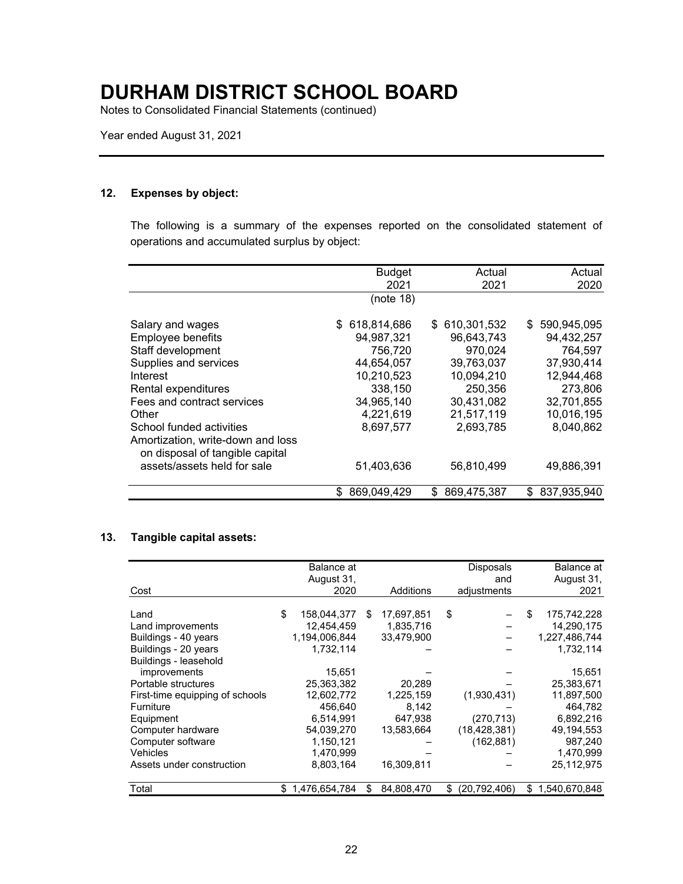Notes to Consolidated Financial Statements (continued)

Year ended August 31, 2021

### **12. Expenses by object:**

The following is a summary of the expenses reported on the consolidated statement of operations and accumulated surplus by object:

|                                   | <b>Budget</b>      | Actual             | Actual             |
|-----------------------------------|--------------------|--------------------|--------------------|
|                                   | 2021               | 2021               | 2020               |
|                                   | (note 18)          |                    |                    |
| Salary and wages                  | 618,814,686<br>\$. | \$610,301,532      | 590,945,095<br>\$. |
| Employee benefits                 | 94,987,321         | 96,643,743         | 94,432,257         |
| Staff development                 | 756,720            | 970,024            | 764,597            |
| Supplies and services             | 44,654,057         | 39,763,037         | 37,930,414         |
| Interest                          | 10,210,523         | 10,094,210         | 12,944,468         |
| Rental expenditures               | 338,150            | 250,356            | 273,806            |
| Fees and contract services        | 34,965,140         | 30,431,082         | 32,701,855         |
| Other                             | 4,221,619          | 21,517,119         | 10,016,195         |
| School funded activities          | 8,697,577          | 2,693,785          | 8,040,862          |
| Amortization, write-down and loss |                    |                    |                    |
| on disposal of tangible capital   |                    |                    |                    |
| assets/assets held for sale       | 51,403,636         | 56,810,499         | 49,886,391         |
|                                   | 869,049,429<br>S   | 869,475,387<br>SS. | 837,935,940<br>\$. |

### **13. Tangible capital assets:**

|                                 |     | Balance at<br>August 31, |    |            | Disposals<br>and     | Balance at<br>August 31, |
|---------------------------------|-----|--------------------------|----|------------|----------------------|--------------------------|
| Cost                            |     | 2020                     |    | Additions  | adjustments          | 2021                     |
|                                 |     |                          |    |            |                      |                          |
| Land                            | \$  | 158.044.377              | \$ | 17,697,851 | \$                   | \$<br>175,742,228        |
| Land improvements               |     | 12,454,459               |    | 1,835,716  |                      | 14,290,175               |
| Buildings - 40 years            |     | 1,194,006,844            |    | 33,479,900 |                      | 1,227,486,744            |
| Buildings - 20 years            |     | 1,732,114                |    |            |                      | 1,732,114                |
| Buildings - leasehold           |     |                          |    |            |                      |                          |
| <i>improvements</i>             |     | 15,651                   |    |            |                      | 15,651                   |
| Portable structures             |     | 25,363,382               |    | 20,289     |                      | 25,383,671               |
| First-time equipping of schools |     | 12.602.772               |    | 1,225,159  | (1,930,431)          | 11,897,500               |
| Furniture                       |     | 456,640                  |    | 8,142      |                      | 464,782                  |
| Equipment                       |     | 6.514.991                |    | 647,938    | (270, 713)           | 6,892,216                |
| Computer hardware               |     | 54,039,270               |    | 13,583,664 | (18, 428, 381)       | 49,194,553               |
| Computer software               |     | 1,150,121                |    |            | (162, 881)           | 987,240                  |
| <b>Vehicles</b>                 |     | 1,470,999                |    |            |                      | 1,470,999                |
| Assets under construction       |     | 8,803,164                |    | 16,309,811 |                      | 25,112,975               |
|                                 |     |                          |    |            |                      |                          |
| Total                           | \$. | 1,476,654,784            | S  | 84,808,470 | \$<br>(20, 792, 406) | \$<br>1,540,670,848      |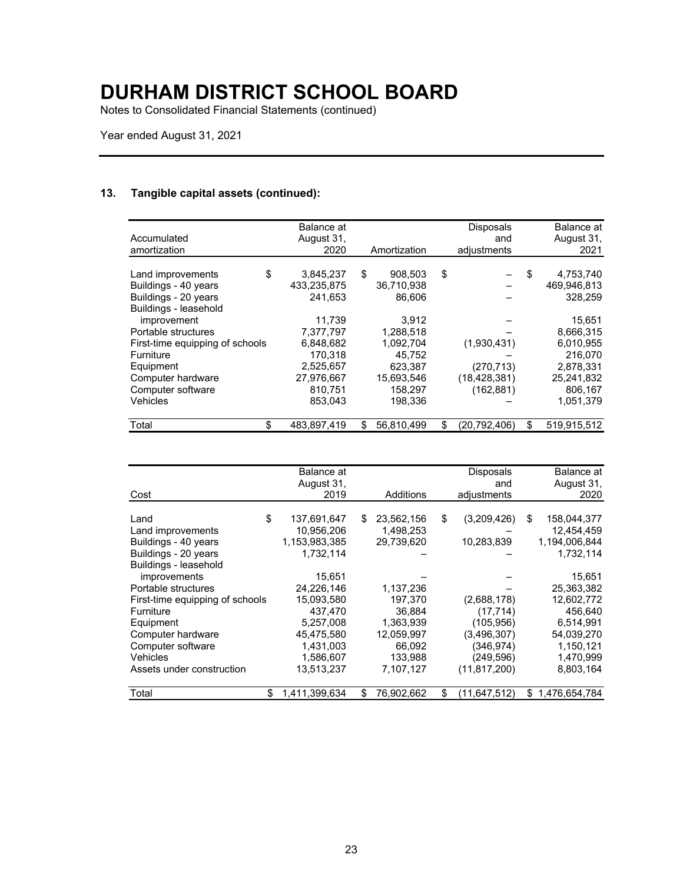Notes to Consolidated Financial Statements (continued)

Year ended August 31, 2021

### **13. Tangible capital assets (continued):**

|                                 | Balance at        |    |              | <b>Disposals</b>     | Balance at        |
|---------------------------------|-------------------|----|--------------|----------------------|-------------------|
| Accumulated                     | August 31,        |    |              | and                  | August 31,        |
| amortization                    | 2020              |    | Amortization | adiustments          | 2021              |
|                                 |                   |    |              |                      |                   |
| Land improvements               | \$<br>3,845,237   | \$ | 908,503      | \$                   | \$<br>4,753,740   |
| Buildings - 40 years            | 433,235,875       |    | 36.710.938   |                      | 469,946,813       |
| Buildings - 20 years            | 241,653           |    | 86.606       |                      | 328.259           |
| Buildings - leasehold           |                   |    |              |                      |                   |
| improvement                     | 11,739            |    | 3,912        |                      | 15,651            |
| Portable structures             | 7,377,797         |    | 1,288,518    |                      | 8,666,315         |
| First-time equipping of schools | 6.848.682         |    | 1.092.704    | (1,930,431)          | 6,010,955         |
| <b>Furniture</b>                | 170.318           |    | 45.752       |                      | 216.070           |
| Equipment                       | 2,525,657         |    | 623.387      | (270, 713)           | 2,878,331         |
| Computer hardware               | 27.976.667        |    | 15,693,546   | (18, 428, 381)       | 25,241,832        |
| Computer software               | 810,751           |    | 158,297      | (162, 881)           | 806,167           |
| Vehicles                        | 853,043           |    | 198,336      |                      | 1,051,379         |
| Total                           | \$<br>483.897.419 | S  | 56.810.499   | \$<br>(20, 792, 406) | \$<br>519.915.512 |

|                                 | Balance at          |                  | Disposals          |     | Balance at    |
|---------------------------------|---------------------|------------------|--------------------|-----|---------------|
|                                 | August 31,          |                  | and                |     | August 31,    |
| Cost                            | 2019                | Additions        | adiustments        |     | 2020          |
|                                 |                     |                  |                    |     |               |
| Land                            | \$<br>137,691,647   | \$<br>23,562,156 | \$<br>(3,209,426)  | \$  | 158,044,377   |
| Land improvements               | 10,956,206          | 1,498,253        |                    |     | 12,454,459    |
| Buildings - 40 years            | 1,153,983,385       | 29,739,620       | 10,283,839         |     | 1,194,006,844 |
| Buildings - 20 years            | 1,732,114           |                  |                    |     | 1,732,114     |
| Buildings - leasehold           |                     |                  |                    |     |               |
| improvements                    | 15,651              |                  |                    |     | 15,651        |
| Portable structures             | 24,226,146          | 1,137,236        |                    |     | 25,363,382    |
| First-time equipping of schools | 15,093,580          | 197,370          | (2,688,178)        |     | 12,602,772    |
| Furniture                       | 437.470             | 36,884           | (17, 714)          |     | 456,640       |
| Equipment                       | 5,257,008           | 1,363,939        | (105, 956)         |     | 6,514,991     |
| Computer hardware               | 45,475,580          | 12,059,997       | (3,496,307)        |     | 54,039,270    |
| Computer software               | 1.431.003           | 66.092           | (346,974)          |     | 1,150,121     |
| Vehicles                        | 1,586,607           | 133,988          | (249, 596)         |     | 1,470,999     |
| Assets under construction       | 13,513,237          | 7,107,127        | (11, 817, 200)     |     | 8,803,164     |
| Total                           | \$<br>1,411,399,634 | \$<br>76.902.662 | \$<br>(11.647.512) | \$. | 1,476,654,784 |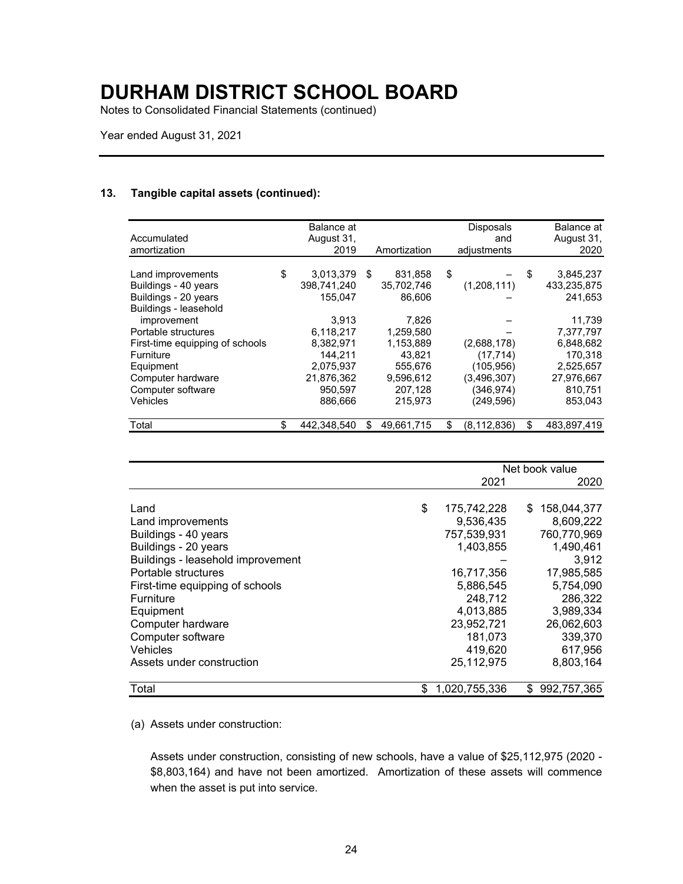Notes to Consolidated Financial Statements (continued)

Year ended August 31, 2021

#### **13. Tangible capital assets (continued):**

| Accumulated<br>amortization                                                                                 | Balance at<br>August 31,<br>2019              | Amortization                               | <b>Disposals</b><br>and<br>adjustments               | Balance at<br>August 31,<br>2020              |
|-------------------------------------------------------------------------------------------------------------|-----------------------------------------------|--------------------------------------------|------------------------------------------------------|-----------------------------------------------|
| Land improvements<br>Buildings - 40 years<br>Buildings - 20 years                                           | \$<br>3,013,379<br>398,741,240<br>155,047     | \$<br>831,858<br>35,702,746<br>86,606      | \$<br>(1,208,111)                                    | \$<br>3,845,237<br>433,235,875<br>241,653     |
| Buildings - leasehold<br>improvement<br>Portable structures<br>First-time equipping of schools<br>Furniture | 3,913<br>6,118,217<br>8.382.971<br>144.211    | 7,826<br>1,259,580<br>1.153.889<br>43.821  | (2,688,178)<br>(17, 714)                             | 11,739<br>7,377,797<br>6,848,682<br>170,318   |
| Equipment<br>Computer hardware<br>Computer software<br>Vehicles                                             | 2.075.937<br>21.876.362<br>950,597<br>886,666 | 555.676<br>9.596.612<br>207,128<br>215.973 | (105,956)<br>(3, 496, 307)<br>(346,974)<br>(249,596) | 2,525,657<br>27,976,667<br>810,751<br>853,043 |
| Total                                                                                                       | \$<br>442.348.540                             | 49,661,715                                 | \$<br>(8, 112, 836)                                  | 483,897,419                                   |

|                                   |    | 2021          |     | 2020        |
|-----------------------------------|----|---------------|-----|-------------|
|                                   |    |               |     |             |
| Land                              | \$ | 175,742,228   | \$. | 158,044,377 |
| Land improvements                 |    | 9,536,435     |     | 8,609,222   |
| Buildings - 40 years              |    | 757,539,931   |     | 760,770,969 |
| Buildings - 20 years              |    | 1,403,855     |     | 1,490,461   |
| Buildings - leasehold improvement |    |               |     | 3,912       |
| Portable structures               |    | 16,717,356    |     | 17,985,585  |
| First-time equipping of schools   |    | 5,886,545     |     | 5,754,090   |
| Furniture                         |    | 248,712       |     | 286,322     |
| Equipment                         |    | 4,013,885     |     | 3,989,334   |
| Computer hardware                 |    | 23,952,721    |     | 26,062,603  |
| Computer software                 |    | 181,073       |     | 339,370     |
| Vehicles                          |    | 419,620       |     | 617,956     |
| Assets under construction         |    | 25,112,975    |     | 8,803,164   |
| Total                             | \$ | 1,020,755,336 | \$  | 992,757,365 |

(a) Assets under construction:

Assets under construction, consisting of new schools, have a value of \$25,112,975 (2020 - \$8,803,164) and have not been amortized. Amortization of these assets will commence when the asset is put into service.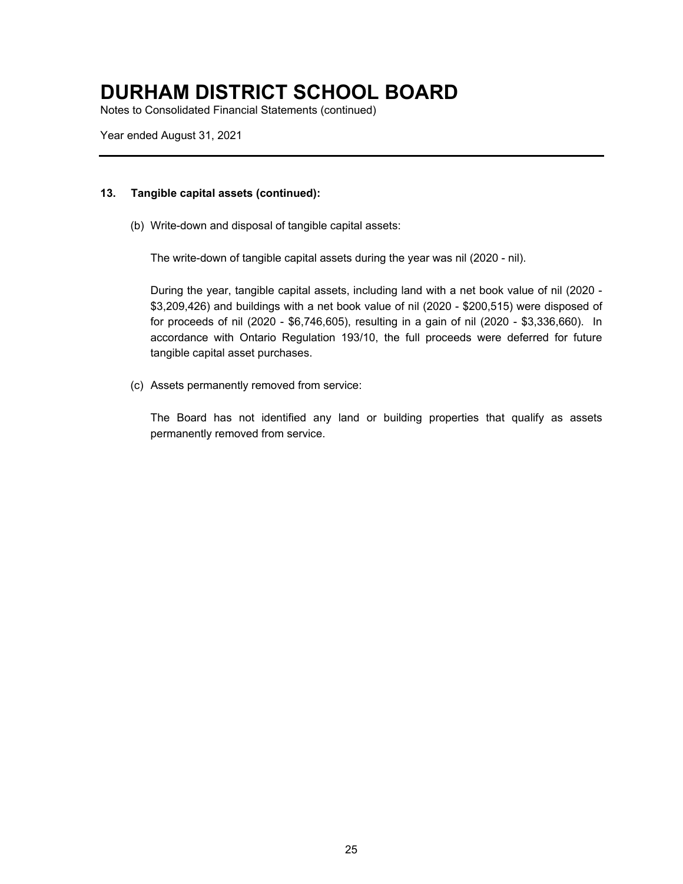Notes to Consolidated Financial Statements (continued)

Year ended August 31, 2021

#### **13. Tangible capital assets (continued):**

(b) Write-down and disposal of tangible capital assets:

The write-down of tangible capital assets during the year was nil (2020 - nil).

During the year, tangible capital assets, including land with a net book value of nil (2020 - \$3,209,426) and buildings with a net book value of nil (2020 - \$200,515) were disposed of for proceeds of nil (2020 - \$6,746,605), resulting in a gain of nil (2020 - \$3,336,660). In accordance with Ontario Regulation 193/10, the full proceeds were deferred for future tangible capital asset purchases.

(c) Assets permanently removed from service:

The Board has not identified any land or building properties that qualify as assets permanently removed from service.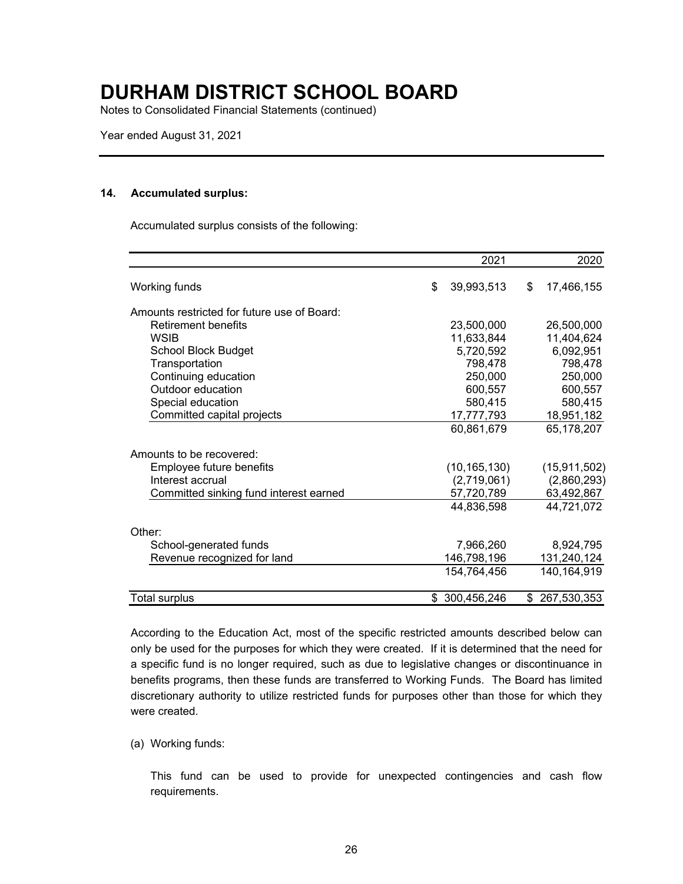Notes to Consolidated Financial Statements (continued)

Year ended August 31, 2021

#### **14. Accumulated surplus:**

Accumulated surplus consists of the following:

|                                             |    | 2021           | 2020             |
|---------------------------------------------|----|----------------|------------------|
| Working funds                               | \$ | 39,993,513     | \$<br>17,466,155 |
| Amounts restricted for future use of Board: |    |                |                  |
| <b>Retirement benefits</b>                  |    | 23,500,000     | 26,500,000       |
| <b>WSIB</b>                                 |    | 11,633,844     | 11,404,624       |
| School Block Budget                         |    | 5,720,592      | 6,092,951        |
| Transportation                              |    | 798,478        | 798,478          |
| Continuing education                        |    | 250,000        | 250,000          |
| Outdoor education                           |    | 600,557        | 600,557          |
| Special education                           |    | 580,415        | 580,415          |
| Committed capital projects                  |    | 17,777,793     | 18,951,182       |
|                                             |    | 60,861,679     | 65,178,207       |
| Amounts to be recovered:                    |    |                |                  |
| Employee future benefits                    |    | (10, 165, 130) | (15, 911, 502)   |
| Interest accrual                            |    | (2,719,061)    | (2,860,293)      |
| Committed sinking fund interest earned      |    | 57,720,789     | 63,492,867       |
|                                             |    | 44,836,598     | 44,721,072       |
| Other:                                      |    |                |                  |
| School-generated funds                      |    | 7,966,260      | 8,924,795        |
| Revenue recognized for land                 |    | 146,798,196    | 131,240,124      |
|                                             |    | 154,764,456    | 140,164,919      |
| <b>Total surplus</b>                        | S  | 300,456,246    | \$267,530,353    |

According to the Education Act, most of the specific restricted amounts described below can only be used for the purposes for which they were created. If it is determined that the need for a specific fund is no longer required, such as due to legislative changes or discontinuance in benefits programs, then these funds are transferred to Working Funds. The Board has limited discretionary authority to utilize restricted funds for purposes other than those for which they were created.

#### (a) Working funds:

This fund can be used to provide for unexpected contingencies and cash flow requirements.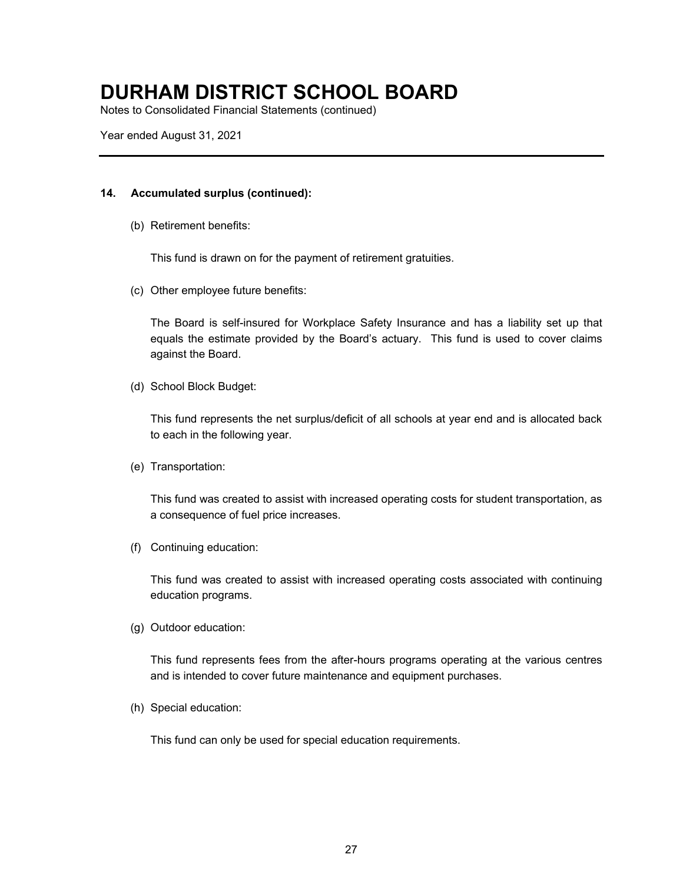Notes to Consolidated Financial Statements (continued)

Year ended August 31, 2021

#### **14. Accumulated surplus (continued):**

(b) Retirement benefits:

This fund is drawn on for the payment of retirement gratuities.

(c) Other employee future benefits:

The Board is self-insured for Workplace Safety Insurance and has a liability set up that equals the estimate provided by the Board's actuary. This fund is used to cover claims against the Board.

(d) School Block Budget:

This fund represents the net surplus/deficit of all schools at year end and is allocated back to each in the following year.

(e) Transportation:

This fund was created to assist with increased operating costs for student transportation, as a consequence of fuel price increases.

(f) Continuing education:

This fund was created to assist with increased operating costs associated with continuing education programs.

(g) Outdoor education:

This fund represents fees from the after-hours programs operating at the various centres and is intended to cover future maintenance and equipment purchases.

(h) Special education:

This fund can only be used for special education requirements.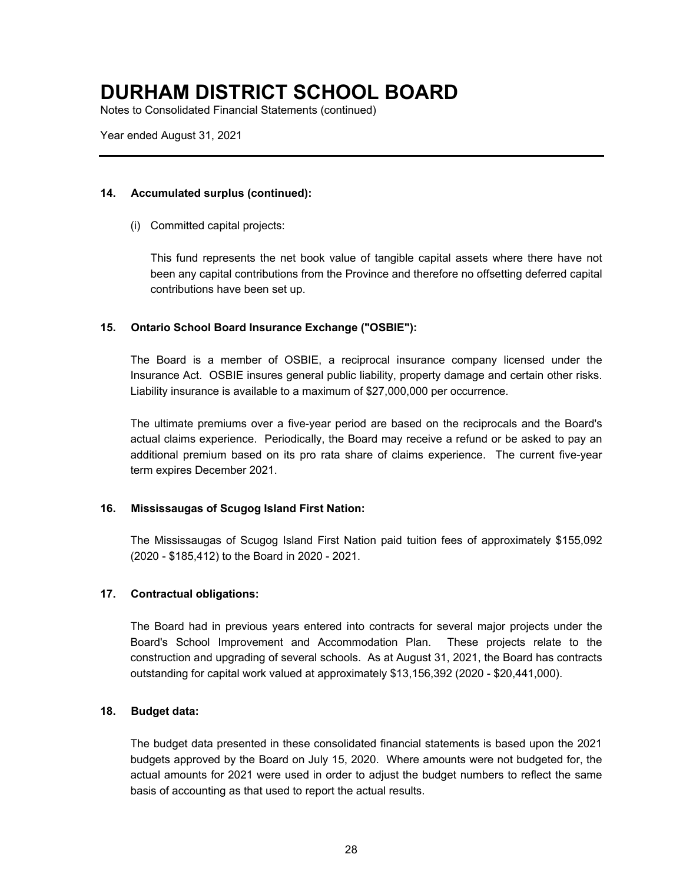Notes to Consolidated Financial Statements (continued)

Year ended August 31, 2021

#### **14. Accumulated surplus (continued):**

(i) Committed capital projects:

This fund represents the net book value of tangible capital assets where there have not been any capital contributions from the Province and therefore no offsetting deferred capital contributions have been set up.

#### **15. Ontario School Board Insurance Exchange ("OSBIE"):**

The Board is a member of OSBIE, a reciprocal insurance company licensed under the Insurance Act. OSBIE insures general public liability, property damage and certain other risks. Liability insurance is available to a maximum of \$27,000,000 per occurrence.

The ultimate premiums over a five-year period are based on the reciprocals and the Board's actual claims experience. Periodically, the Board may receive a refund or be asked to pay an additional premium based on its pro rata share of claims experience. The current five-year term expires December 2021.

#### **16. Mississaugas of Scugog Island First Nation:**

The Mississaugas of Scugog Island First Nation paid tuition fees of approximately \$155,092 (2020 - \$185,412) to the Board in 2020 - 2021.

#### **17. Contractual obligations:**

The Board had in previous years entered into contracts for several major projects under the Board's School Improvement and Accommodation Plan. These projects relate to the construction and upgrading of several schools. As at August 31, 2021, the Board has contracts outstanding for capital work valued at approximately \$13,156,392 (2020 - \$20,441,000).

#### **18. Budget data:**

The budget data presented in these consolidated financial statements is based upon the 2021 budgets approved by the Board on July 15, 2020. Where amounts were not budgeted for, the actual amounts for 2021 were used in order to adjust the budget numbers to reflect the same basis of accounting as that used to report the actual results.